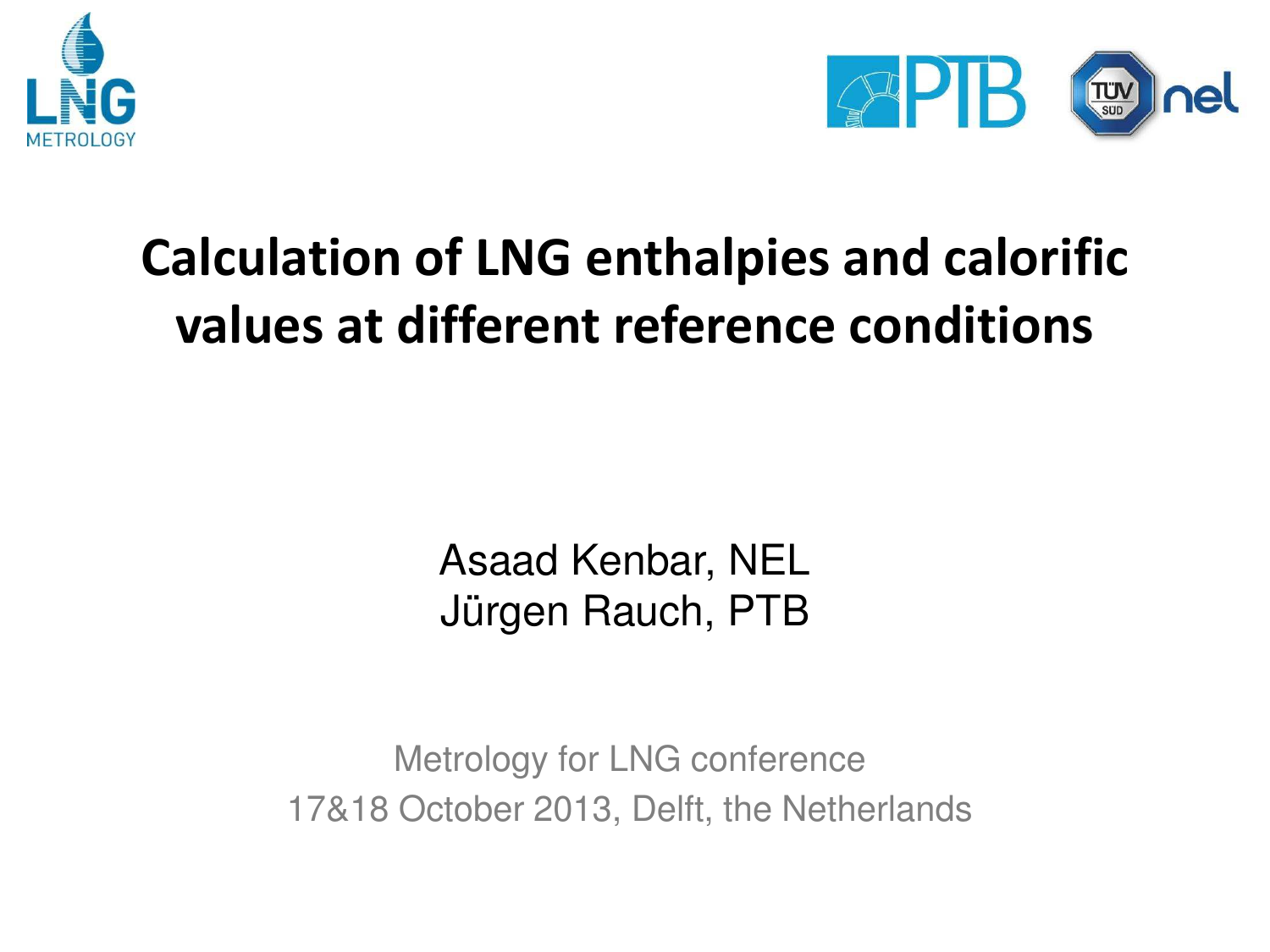



## **Calculation of LNG enthalpies and calorific values at different reference conditions**

Asaad Kenbar, NEL Jürgen Rauch, PTB

Metrology for LNG conference 17&18 October 2013, Delft, the Netherlands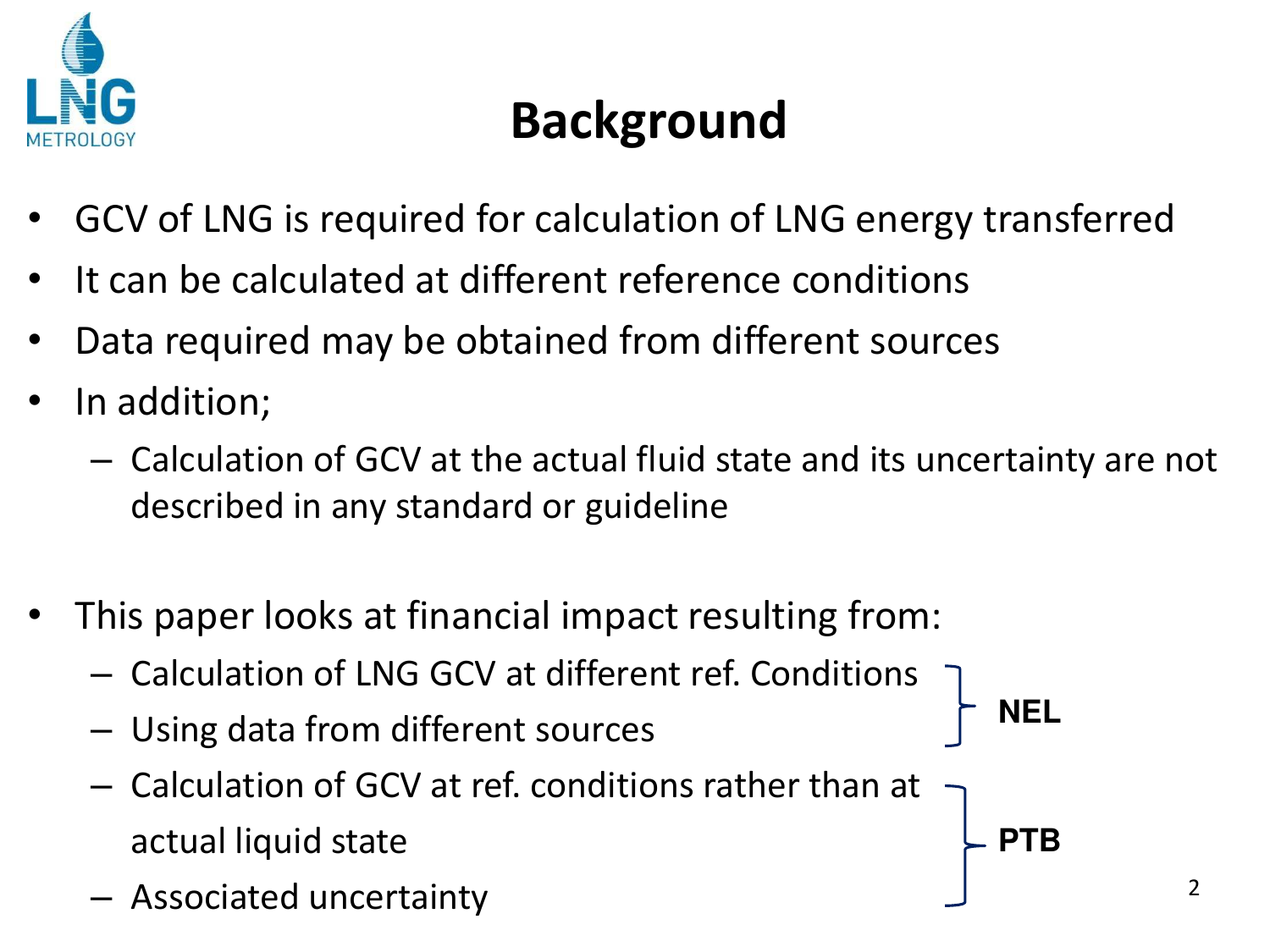

## **Background**

- GCV of LNG is required for calculation of LNG energy transferred
- It can be calculated at different reference conditions
- Data required may be obtained from different sources
- In addition;
	- Calculation of GCV at the actual fluid state and its uncertainty are not described in any standard or guideline
- This paper looks at financial impact resulting from:
	- Calculation of LNG GCV at different ref. Conditions
	- Using data from different sources
	- Calculation of GCV at ref. conditions rather than at actual liquid state
	- Associated uncertainty <sup>2</sup>

**NEL** 

**PTB**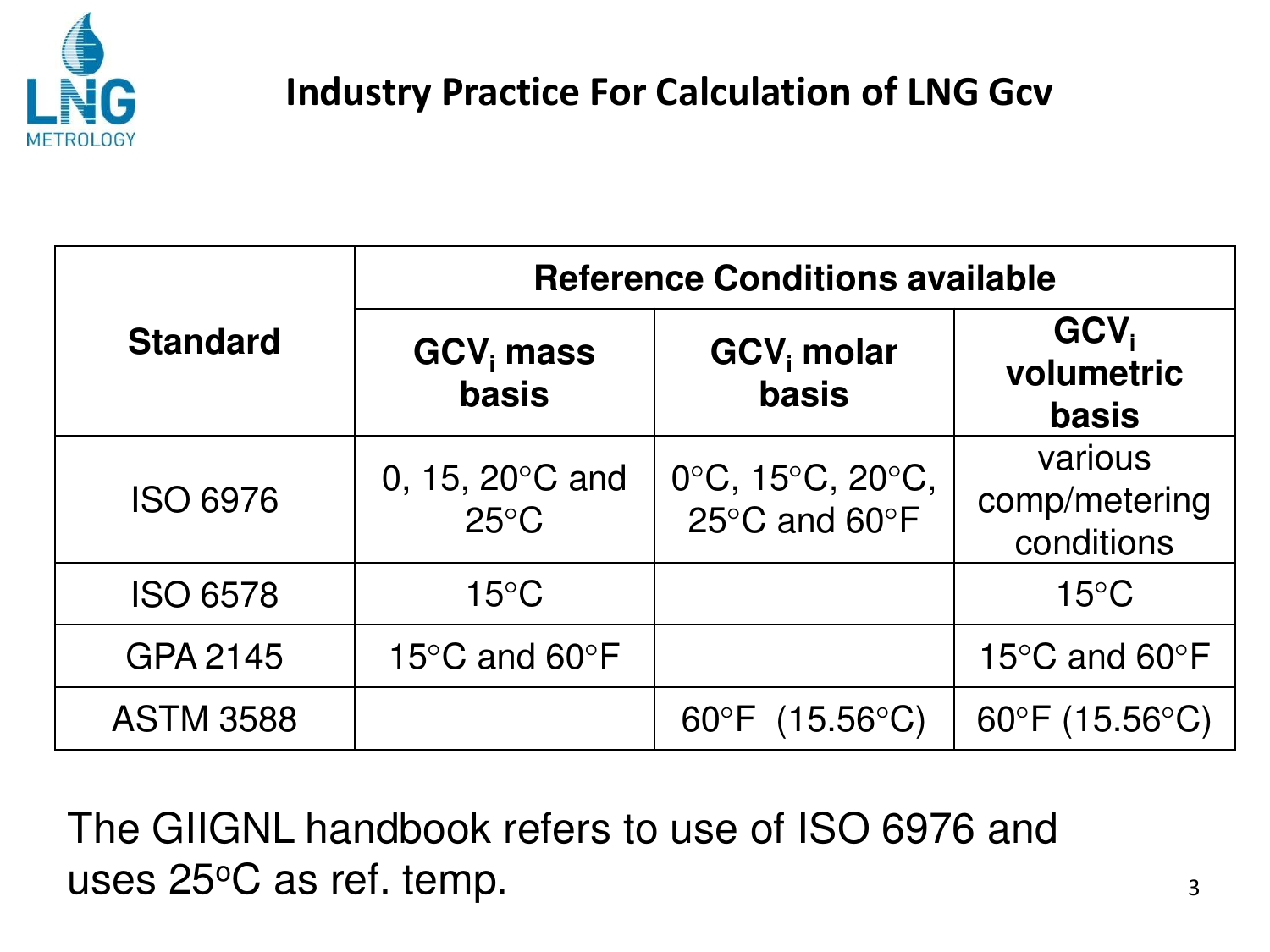

#### **Industry Practice For Calculation of LNG Gcv**

|                  | <b>Reference Conditions available</b>               |                                   |                                                |  |  |  |  |  |
|------------------|-----------------------------------------------------|-----------------------------------|------------------------------------------------|--|--|--|--|--|
| <b>Standard</b>  | $GCVi$ mass<br><b>basis</b>                         | GCV <sub>i</sub> molar<br>basis   | GCV <sub>i</sub><br>volumetric<br><b>basis</b> |  |  |  |  |  |
| <b>ISO 6976</b>  | 0, 15, 20 $\degree$ C and<br>$25^{\circ}$ C         | 0°C, 15°C, 20°C,<br>25°C and 60°F | various<br>comp/metering<br>conditions         |  |  |  |  |  |
| <b>ISO 6578</b>  | $15^{\circ}$ C                                      |                                   | $15^{\circ}$ C                                 |  |  |  |  |  |
| GPA 2145         | 15 $\mathrm{^{\circ}C}$ and 60 $\mathrm{^{\circ}F}$ |                                   | 15°C and 60°F                                  |  |  |  |  |  |
| <b>ASTM 3588</b> |                                                     | 60°F (15.56°C)                    | $60^{\circ}F(15.56^{\circ}C)$                  |  |  |  |  |  |

The GIIGNL handbook refers to use of ISO 6976 and uses 25°C as ref. temp.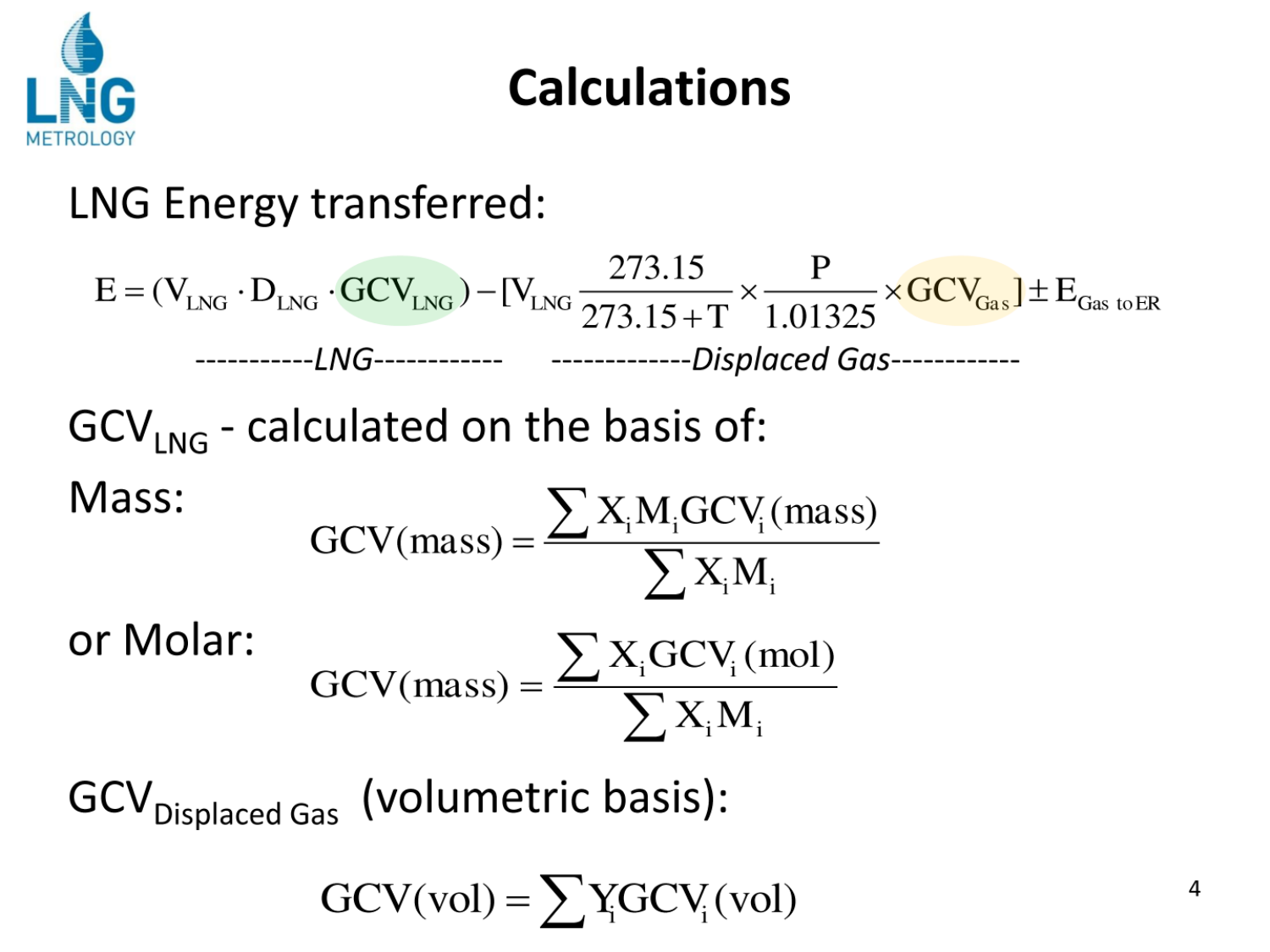

## **Calculations**

#### LNG Energy transferred:

$$
E = (V_{LNG} \cdot D_{LNG} \cdot GCV_{LNG}) - [V_{LNG} \frac{273.15}{273.15 + T} \times \frac{P}{1.01325} \times GCV_{Gas}] \pm E_{Gas\text{ to ER}}
$$
  
\n
$$
GCV_{LNG} - calculated on the basis of:
$$
  
\nMass:  
\n
$$
GCV(mass) = \frac{\sum X_i M_i GCV_i(mass)}{\sum X_i M_i}
$$
  
\nor Molar:  
\n
$$
GCV(mass) = \frac{\sum X_i GCV_i(mol)}{\sum X_i M_i}
$$

GCV<sub>Displaced Gas</sub> (volumetric basis):

$$
GCV(vol) = \sum Y_i GCV_i(vol)
$$

4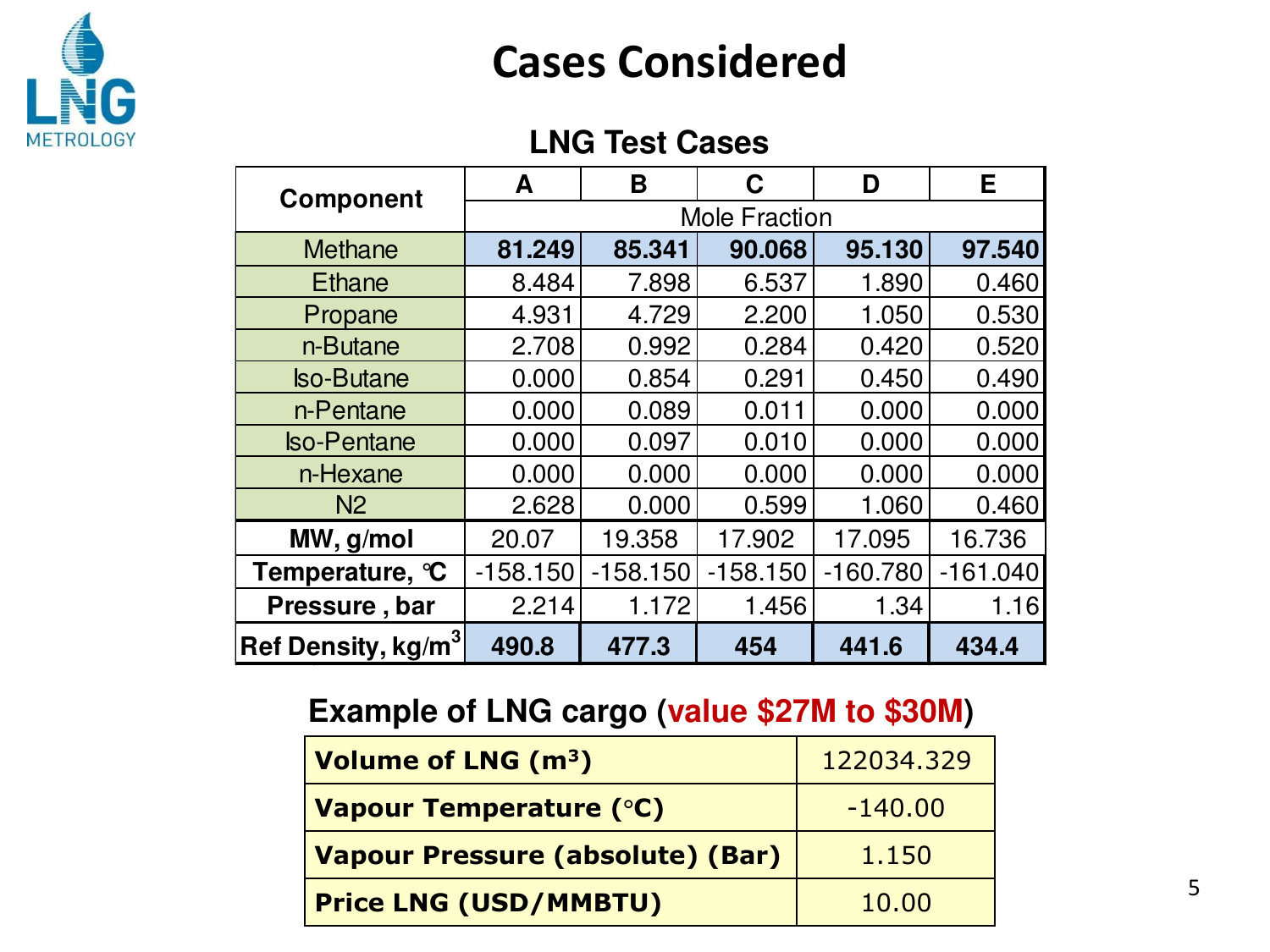

#### **Cases Considered**

#### **LNG Test Cases**

| <b>Component</b>               | A                    | B          | C          | Е<br>D     |            |  |  |
|--------------------------------|----------------------|------------|------------|------------|------------|--|--|
|                                | <b>Mole Fraction</b> |            |            |            |            |  |  |
| <b>Methane</b>                 | 81.249               | 85.341     | 90.068     | 95.130     | 97.540     |  |  |
| <b>Ethane</b>                  | 8.484                | 7.898      | 6.537      | 1.890      | 0.460      |  |  |
| Propane                        | 4.931                | 4.729      | 2.200      | 1.050      | 0.530      |  |  |
| n-Butane                       | 2.708                | 0.992      | 0.284      | 0.420      | 0.520      |  |  |
| <b>Iso-Butane</b>              | 0.000                | 0.854      | 0.291      | 0.450      | 0.490      |  |  |
| n-Pentane                      | 0.000                | 0.089      | 0.011      | 0.000      | 0.000      |  |  |
| <b>Iso-Pentane</b>             | 0.000                | 0.097      | 0.010      | 0.000      | 0.000      |  |  |
| n-Hexane                       | 0.000                | 0.000      | 0.000      | 0.000      | 0.000      |  |  |
| N <sub>2</sub>                 | 2.628                | 0.000      | 0.599      | 1.060      | 0.460      |  |  |
| MW, g/mol                      | 20.07                | 19.358     | 17.902     | 17.095     | 16.736     |  |  |
| Temperature, °C                | $-158.150$           | $-158.150$ | $-158.150$ | $-160.780$ | $-161.040$ |  |  |
| Pressure, bar                  | 2.214                | 1.172      | 1.456      | 1.34       | 1.16       |  |  |
| Ref Density, kg/m <sup>3</sup> | 490.8                | 477.3      | 454        | 441.6      | 434.4      |  |  |

#### **Example of LNG cargo (value \$27M to \$30M)**

| Volume of LNG (m <sup>3</sup> )  | 122034.329 |
|----------------------------------|------------|
| <b>Vapour Temperature (°C)</b>   | $-140.00$  |
| Vapour Pressure (absolute) (Bar) | 1.150      |
| <b>Price LNG (USD/MMBTU)</b>     | 10.00      |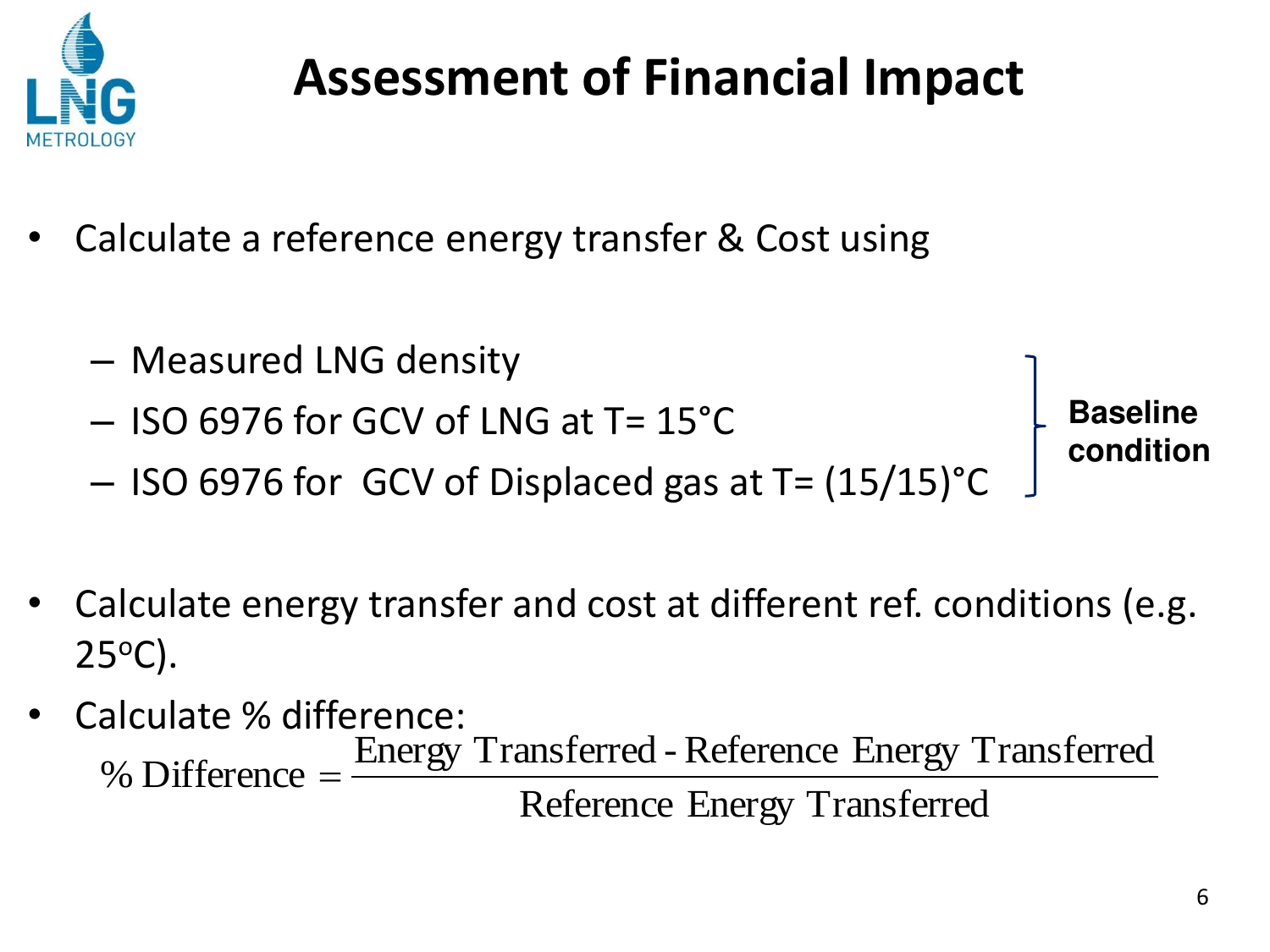

## **Assessment of Financial Impact**

- Calculate a reference energy transfer & Cost using
	- Measured LNG density – ISO 6976 for GCV of LNG at T= 15°C – ISO 6976 for GCV of Displaced gas at T= (15/15)°C **Baseline condition**
- Calculate energy transfer and cost at different ref. conditions (e.g.  $25^{\circ}$ C).
- Calculate % difference: Reference Energy Transferred Energy Transferred -Reference Energy Transferred % Difference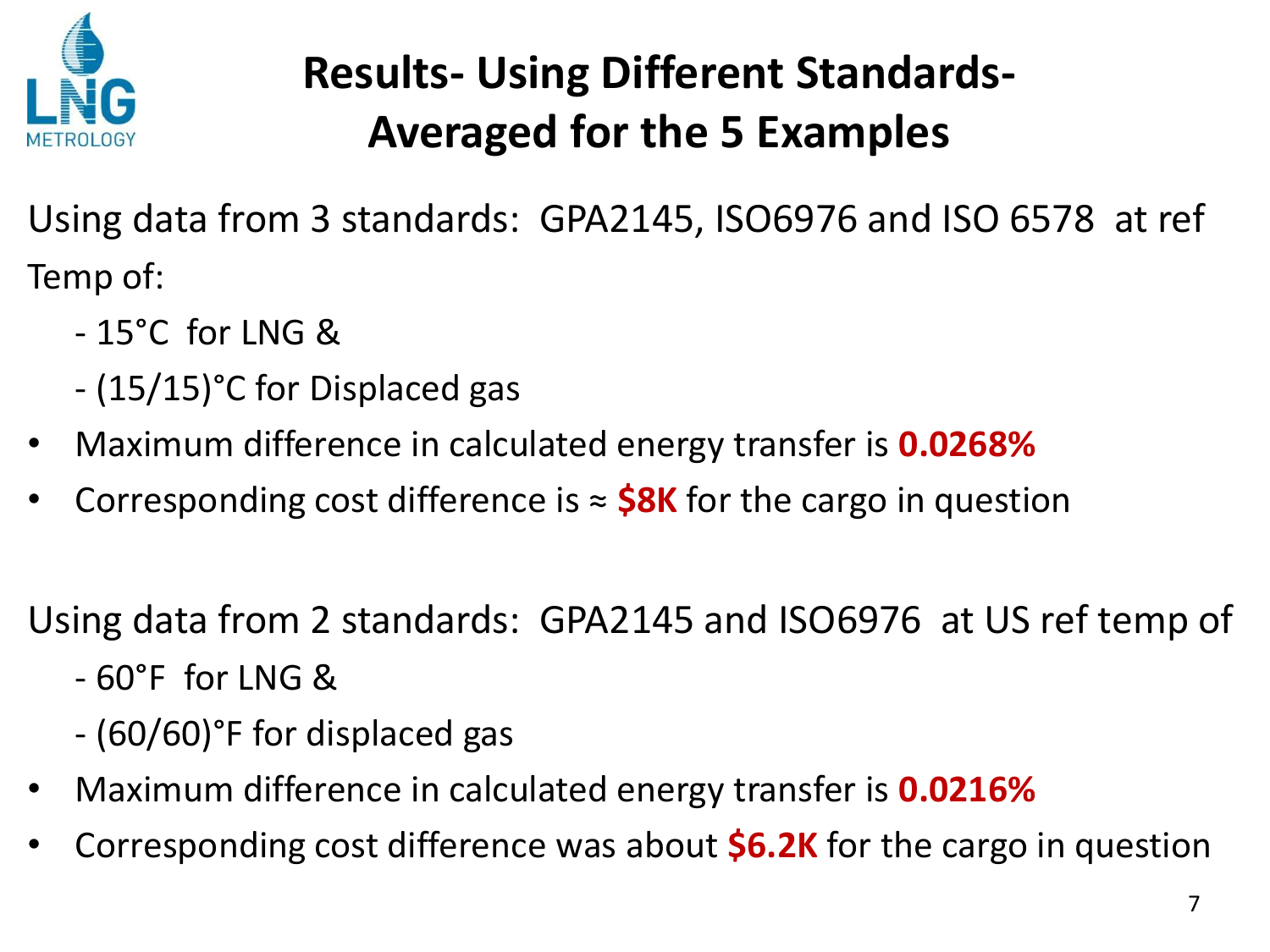

## **Results- Using Different Standards-Averaged for the 5 Examples**

Using data from 3 standards: GPA2145, ISO6976 and ISO 6578 at ref Temp of:

- 15°C for LNG &
- (15/15)°C for Displaced gas
- Maximum difference in calculated energy transfer is **0.0268%**
- Corresponding cost difference is  $\approx$  **\$8K** for the cargo in question

Using data from 2 standards: GPA2145 and ISO6976 at US ref temp of

- 60°F for LNG &
- (60/60)°F for displaced gas
- Maximum difference in calculated energy transfer is **0.0216%**
- Corresponding cost difference was about **\$6.2K** for the cargo in question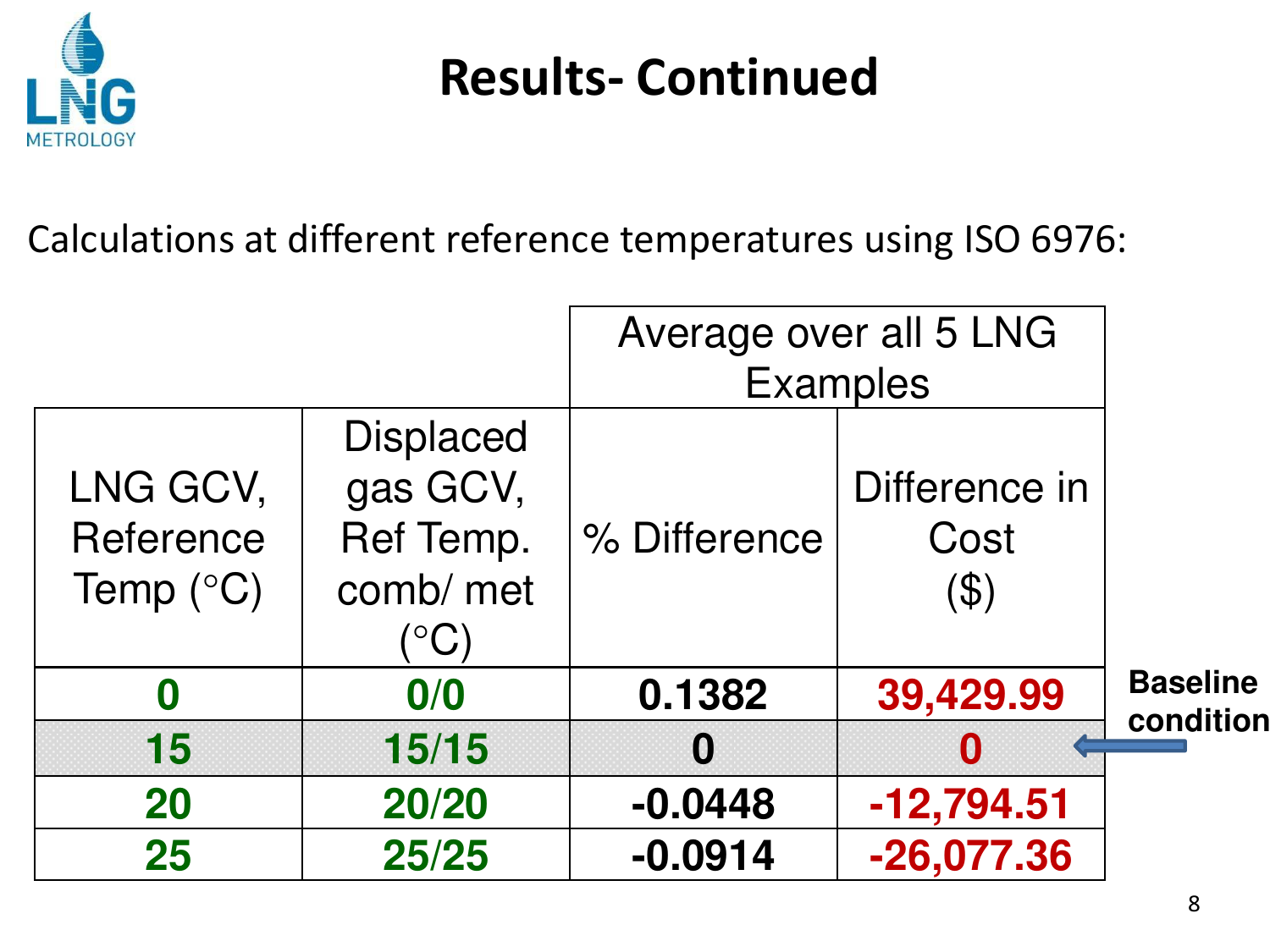

## **Results- Continued**

Calculations at different reference temperatures using ISO 6976:

|                                             |                                                                            | Average over all 5 LNG |                                 |                 |  |  |  |
|---------------------------------------------|----------------------------------------------------------------------------|------------------------|---------------------------------|-----------------|--|--|--|
|                                             |                                                                            |                        | <b>Examples</b>                 |                 |  |  |  |
| LNG GCV,<br>Reference<br>Temp $(^{\circ}C)$ | <b>Displaced</b><br>gas GCV,<br>Ref Temp.<br>comb/ met<br>$\rm ^{\circ}C)$ | % Difference           | Difference in<br>Cost<br>( \$ ) |                 |  |  |  |
| 0                                           | 0/0                                                                        | 0.1382                 | 39,429.99                       | <b>Baseline</b> |  |  |  |
| 15                                          | 15/15                                                                      | 0                      | $\bf{0}$                        | condition       |  |  |  |
| 20                                          | 20/20                                                                      | $-0.0448$              | $-12,794.51$                    |                 |  |  |  |
| 25                                          | 25/25                                                                      | $-0.0914$              | $-26,077.36$                    |                 |  |  |  |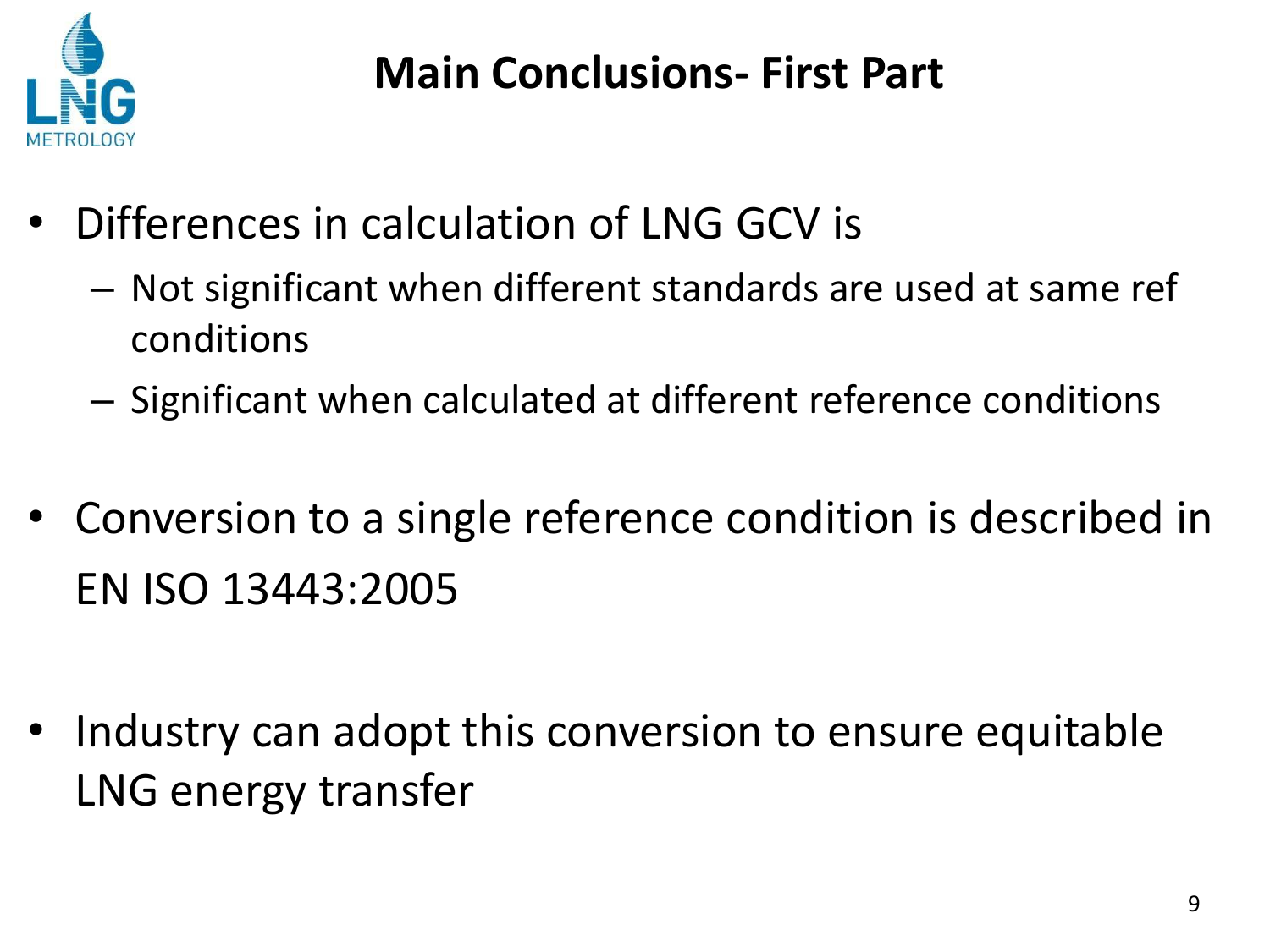

#### **Main Conclusions- First Part**

- Differences in calculation of LNG GCV is
	- Not significant when different standards are used at same ref conditions
	- Significant when calculated at different reference conditions
- Conversion to a single reference condition is described in EN ISO 13443:2005
- Industry can adopt this conversion to ensure equitable LNG energy transfer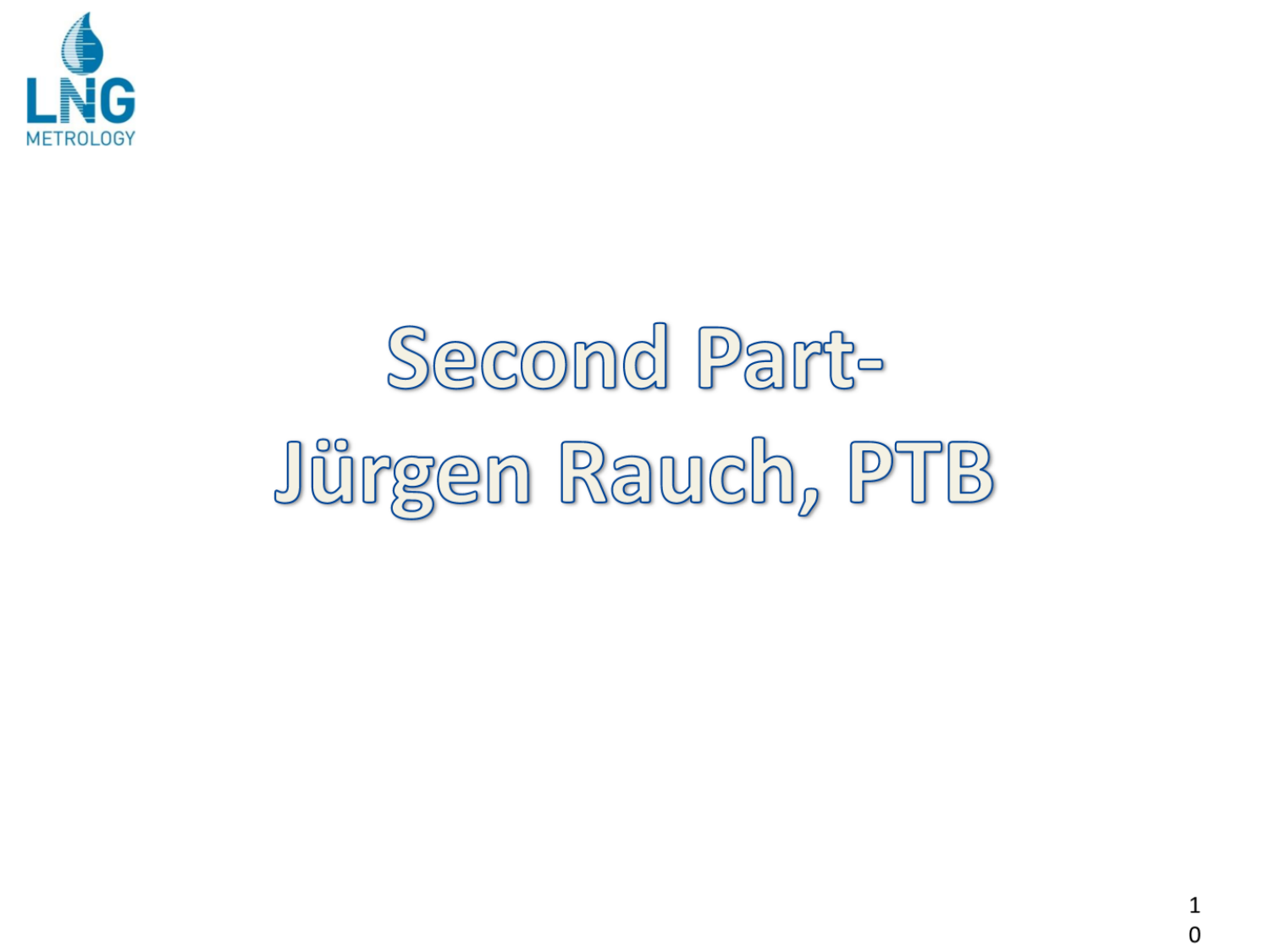

# Second Part-Jürgen Rauch, PTB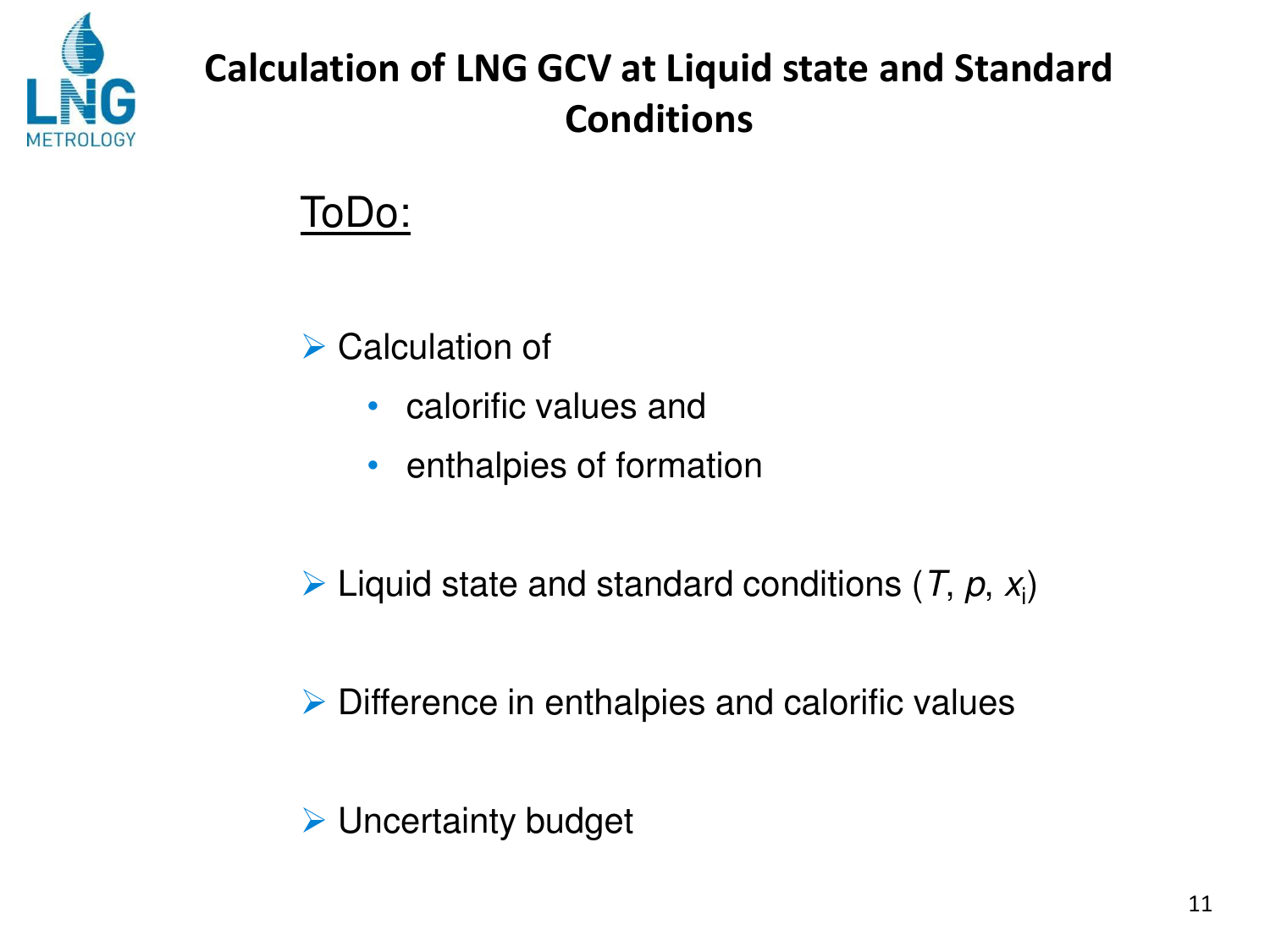

#### **Calculation of LNG GCV at Liquid state and Standard Conditions**

ToDo:

**▶ Calculation of** 

- calorific values and
- enthalpies of formation
- $\triangleright$  Liquid state and standard conditions (*T*, *p*, *x*<sub>i</sub>)
- $\triangleright$  Difference in enthalpies and calorific values
- $\triangleright$  Uncertainty budget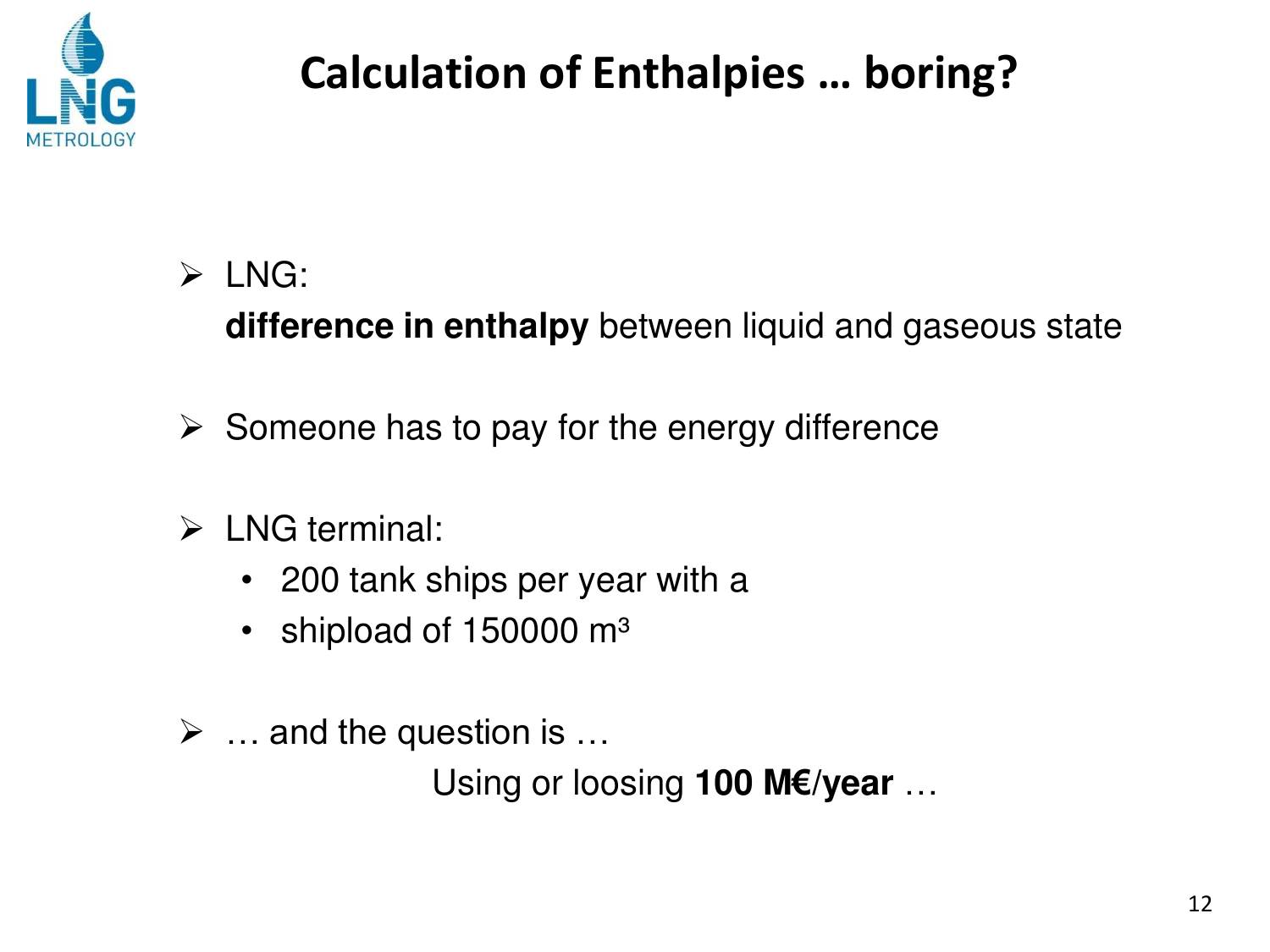

### **Calculation of Enthalpies ... boring?**

 $\triangleright$  LNG:

difference in enthalpy between liquid and gaseous state

- $\triangleright$  Someone has to pay for the energy difference
- $\triangleright$  LNG terminal:
	- 200 tank ships per year with a
	- shipload of 150000 m<sup>3</sup>
- $\triangleright$  ... and the question is ...

Using or loosing 100 M€/year ...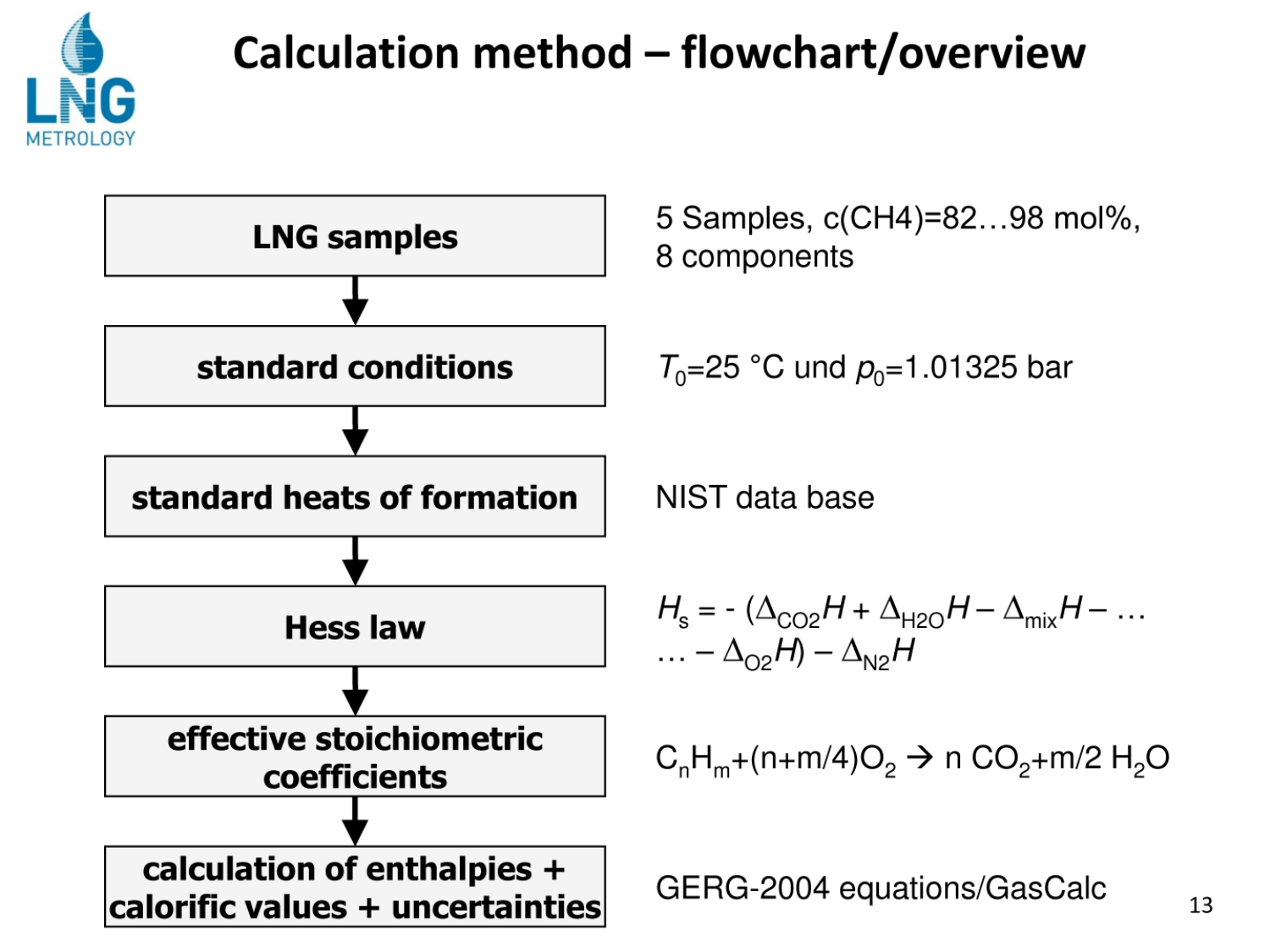

#### Calculation method - flowchart/overview



5 Samples, c(CH4)=82...98 mol%, 8 components

 $T_0$ =25 °C und  $p_0$ =1.01325 bar

NIST data base

$$
H_{s} = -(\Delta_{\text{CO2}}H + \Delta_{\text{H2O}}H - \Delta_{\text{mix}}H - \dots
$$

$$
\dots - \Delta_{\text{O2}}H - \Delta_{\text{N2}}H
$$

 $C_nH_m+(n+m/4)O_2 \to n CO_2+m/2 H_2O$ 

GERG-2004 equations/GasCalc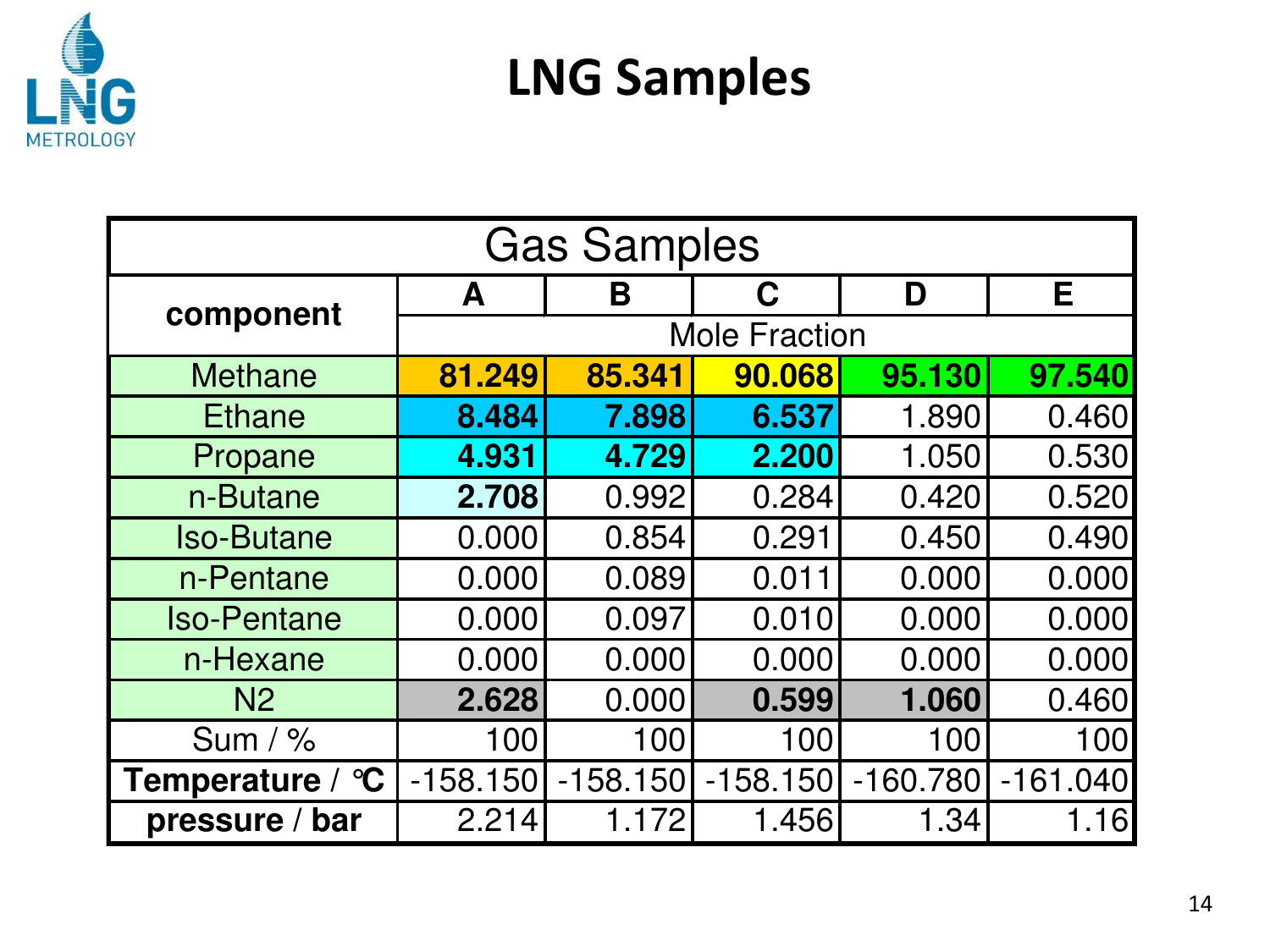

## **LNG Samples**

| <b>Gas Samples</b> |            |                      |            |            |            |  |  |  |
|--------------------|------------|----------------------|------------|------------|------------|--|--|--|
|                    | A          | B                    | C          | D          | Е          |  |  |  |
| component          |            | <b>Mole Fraction</b> |            |            |            |  |  |  |
| <b>Methane</b>     | 81.249     | 85.341               | 90.068     | 95.130     | 97.540     |  |  |  |
| <b>Ethane</b>      | 8.484      | 7.898                | 6.537      | 1.890      | 0.460      |  |  |  |
| Propane            | 4.931      | 4.729                | 2.200      | 1.050      | 0.530      |  |  |  |
| n-Butane           | 2.708      | 0.992                | 0.284      | 0.420      | 0.520      |  |  |  |
| <b>Iso-Butane</b>  | 0.000      | 0.854                | 0.291      | 0.450      | 0.490      |  |  |  |
| n-Pentane          | 0.000      | 0.089                | 0.011      | 0.000      | 0.000      |  |  |  |
| <b>Iso-Pentane</b> | 0.000      | 0.097                | 0.010      | 0.000      | 0.000      |  |  |  |
| n-Hexane           | 0.000      | 0.000                | 0.000      | 0.000      | 0.000      |  |  |  |
| N <sub>2</sub>     | 2.628      | 0.000                | 0.599      | 1.060      | 0.460      |  |  |  |
| Sum $/$ %          | 100        | 100                  | 100        | 100        | 100        |  |  |  |
| Temperature / °C   | $-158.150$ | $-158.150$           | $-158.150$ | $-160.780$ | $-161.040$ |  |  |  |
| pressure /<br>bar  | 2.214      | 1.172                | 1.456      | 1.34       | 1.16       |  |  |  |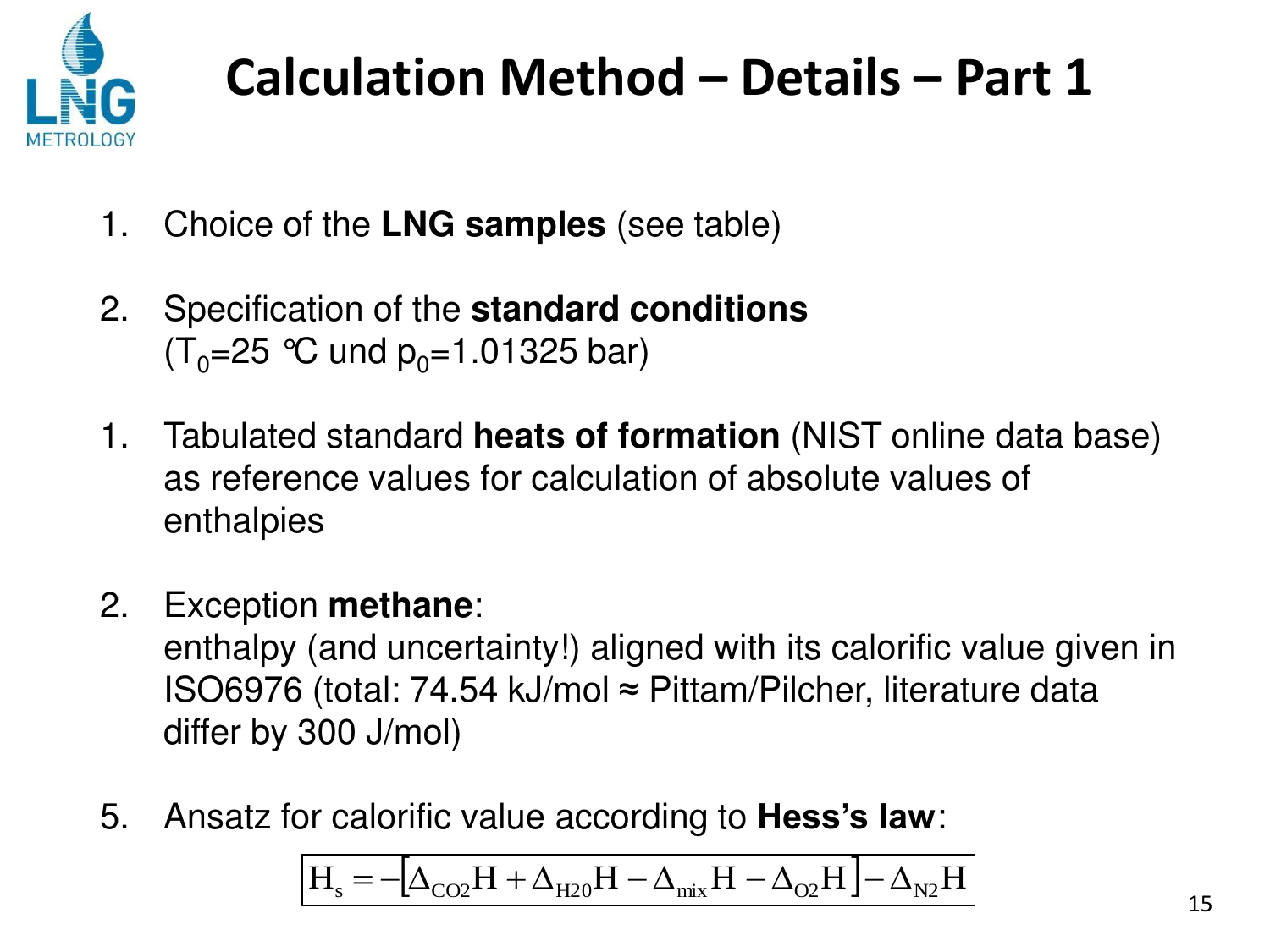

- 1. Choice of the **LNG samples** (see table)
- 2. Specification of the **standard conditions**  $(T_0=25$  °C und  $p_0=1.01325$  bar)
- 1. Tabulated standard **heats of formation** (NIST online data base) as reference values for calculation of absolute values of enthalpies
- 2. Exception **methane**:

 enthalpy (and uncertainty!) aligned with its calorific value given in ISO6976 (total: 74.54 kJ/mol ≈ Pittam/Pilcher, literature data differ by 300 J/mol)

5. Ansatz for calorific value according to **Hess's law**:

$$
\boxed{H_s = - \big[\Delta_{CO2} H + \Delta_{H20} H - \Delta_{mix} H - \Delta_{O2} H \big] - \Delta_{N2} H}
$$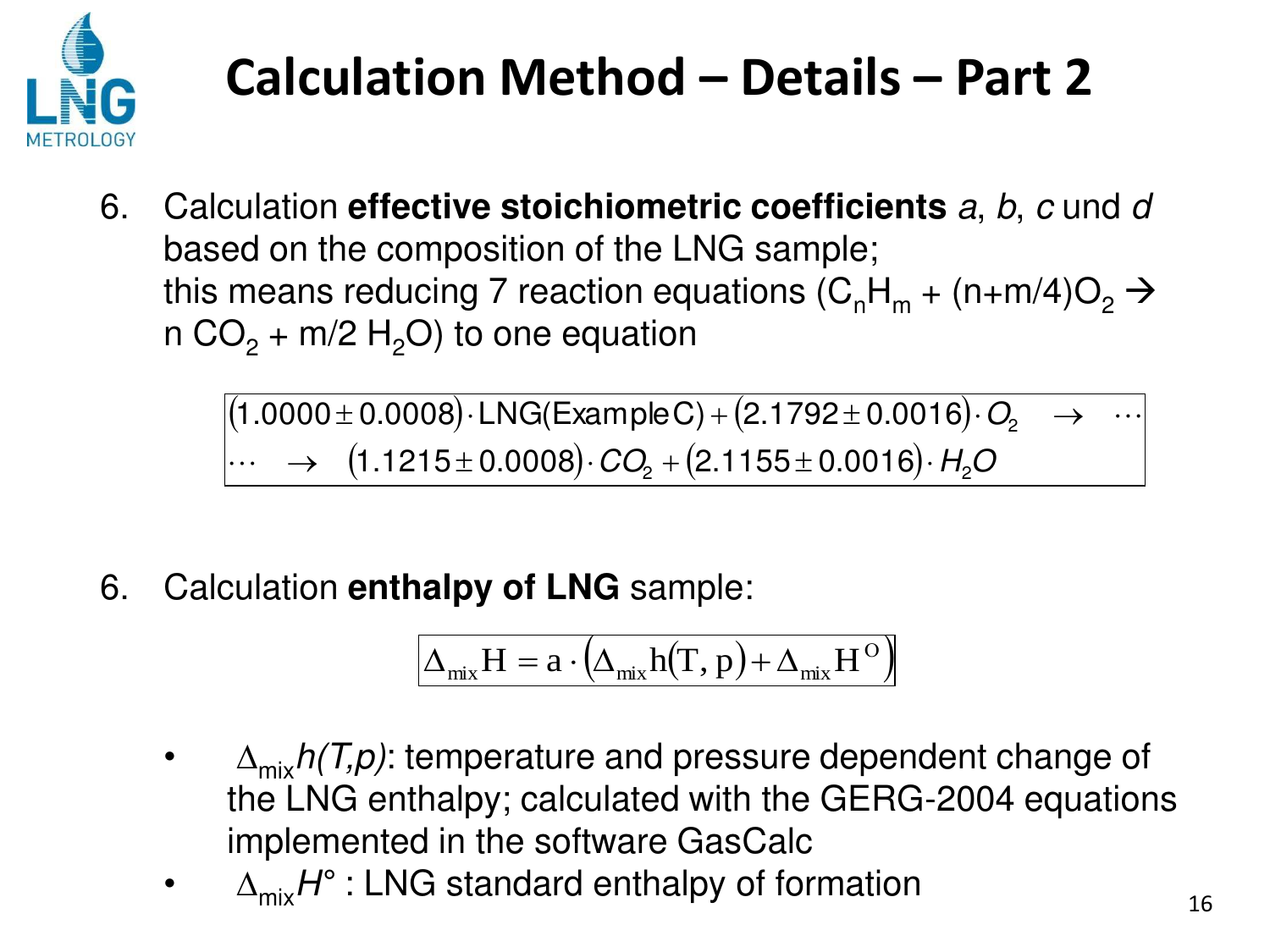

6. Calculation **effective stoichiometric coefficients** *a*, *b*, *c* und *d* based on the composition of the LNG sample; this means reducing 7 reaction equations (C<sub>n</sub>H<sub>m</sub> + (n+m/4)O<sub>2</sub>  $\rightarrow$ n CO<sub>2</sub> + m/2 H<sub>2</sub>O) to one equation

> $(1.0000\pm 0.0008)\cdot$ LNG(ExampleC) +  $(2.1792\pm 0.0016)\cdot$   $O<sub>2</sub>$   $\longrightarrow$   $\cdots$  $\cdots$  → (1.1215±0.0008) $\cdot$  *CO*<sub>2</sub> + (2.1155±0.0016) $\cdot$  *H*<sub>2</sub>*O*

6. Calculation **enthalpy of LNG** sample:

$$
\Delta_{mix} H = a \cdot \left( \Delta_{mix} h(T, p) + \Delta_{mix} H^{\rm O} \right)
$$

- $\Delta_{\text{mix}}h(T,p)$ : temperature and pressure dependent change of the LNG enthalpy; calculated with the GERG-2004 equations implemented in the software GasCalc
- $\Delta_{\text{mix}}H^{\circ}$  : LNG standard enthalpy of formation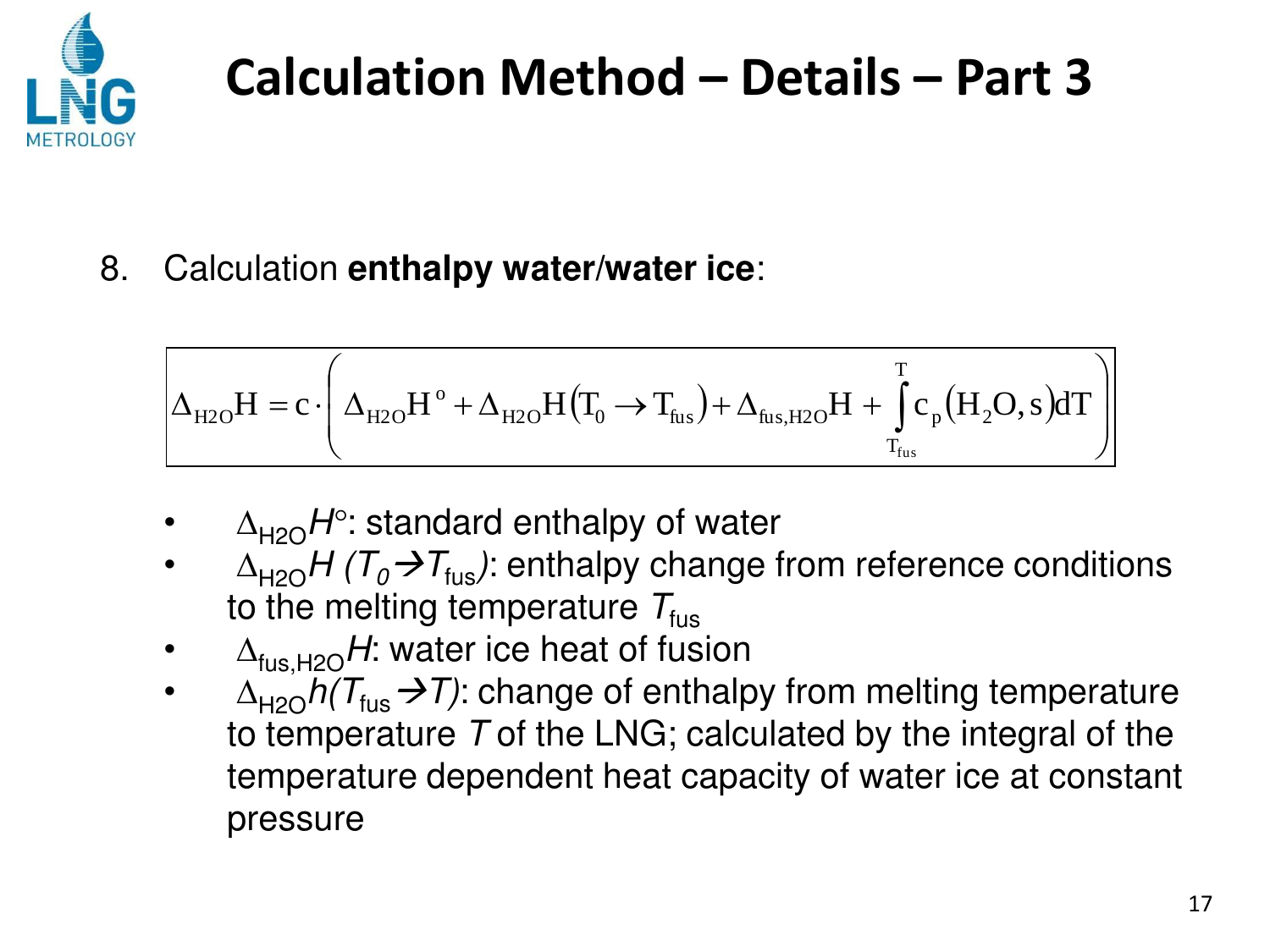

8. Calculation **enthalpy water/water ice**:

$$
\Delta_{\mathrm{H2O}}H=c\cdot\Bigg(\Delta_{\mathrm{H2O}}H^{\circ}+\Delta_{\mathrm{H2O}}H\big(\boldsymbol{T}_0\to\boldsymbol{T}_{\mathrm{fus}}\big)+\Delta_{\mathrm{fus,H2O}}H+\int\limits_{\boldsymbol{T}_{\mathrm{fus}}}^{T}c_{p}\big(H_{2}O,s\big)dT\Bigg)
$$

- $\Delta_{H2O}H^{\circ}$ : standard enthalpy of water
- $\Delta_{H2O}H(T_0\rightarrow T_{fus})$ : enthalpy change from reference conditions to the melting temperature  $T_{fus}$
- $\Delta_{fus H2O}H$ : water ice heat of fusion
- $\Delta_{H2O}h(T_{fus}\rightarrow T)$ : change of enthalpy from melting temperature to temperature *T* of the LNG; calculated by the integral of the temperature dependent heat capacity of water ice at constant pressure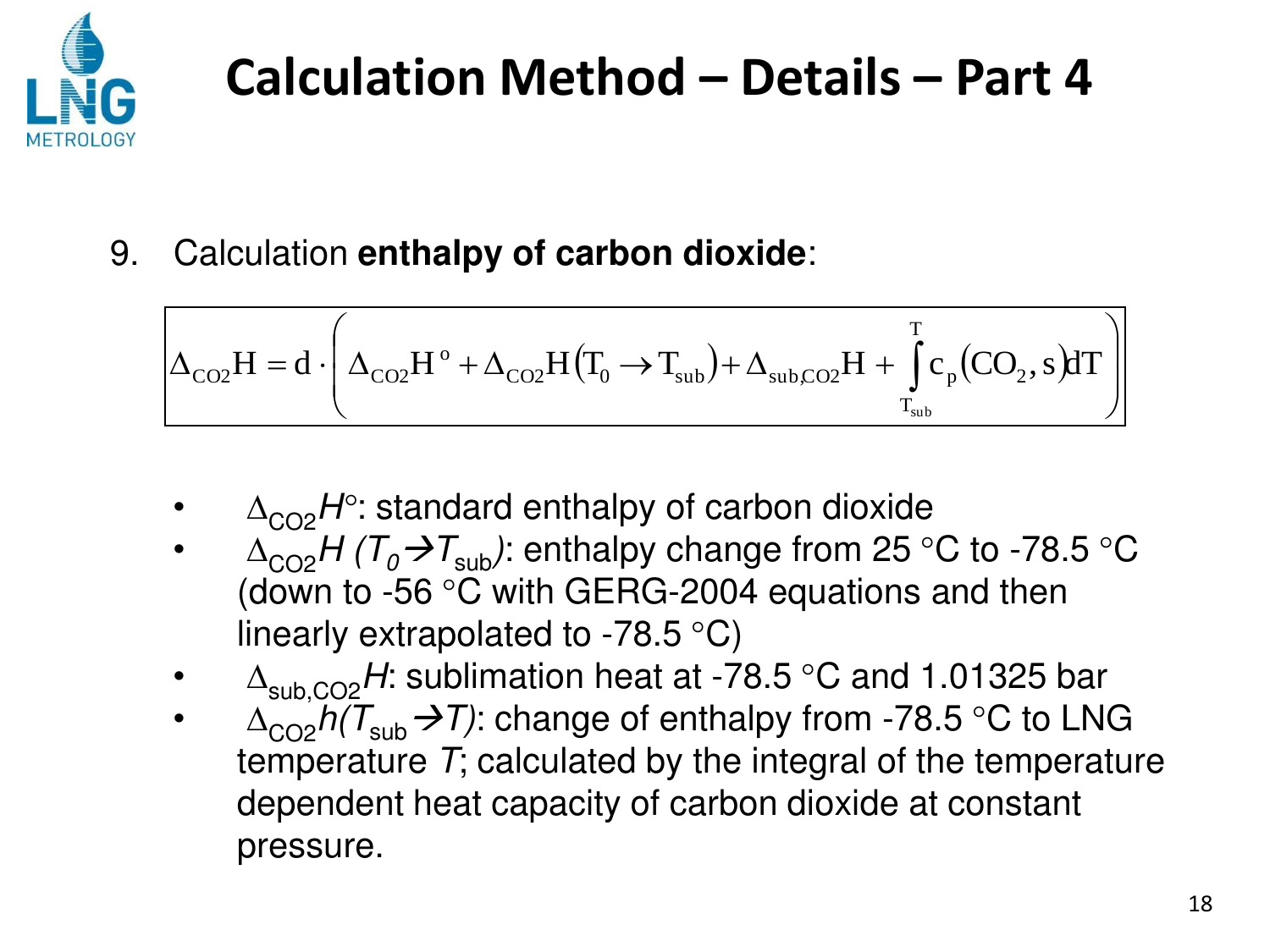

9. Calculation **enthalpy of carbon dioxide**:

$$
\Delta_{\rm CO2}H=d\cdot\left(\Delta_{\rm CO2}H^{\rm o}+\Delta_{\rm CO2}H\big(T_{\rm o}\to T_{\rm sub})+\Delta_{\rm subCO2}H+\int\limits_{T_{\rm sub}}^{T}c_{\rm p}\big(CO_{\rm 2},s\big)dT\right)
$$

- $\Delta_{CO2}H^{\circ}$ : standard enthalpy of carbon dioxide
- $\Delta_{\text{CO2}}H(T_0\rightarrow T_{\text{sub}})$ : enthalpy change from 25 °C to -78.5 °C (down to -56 °C with GERG-2004 equations and then linearly extrapolated to -78.5  $\mathrm{^{\circ}C}$ )
- $\Delta_{sub,CO2}$ H: sublimation heat at -78.5 °C and 1.01325 bar
- $\Delta_{CO2}h(T_{sub} \rightarrow T)$ : change of enthalpy from -78.5 °C to LNG temperature *T*; calculated by the integral of the temperature dependent heat capacity of carbon dioxide at constant pressure.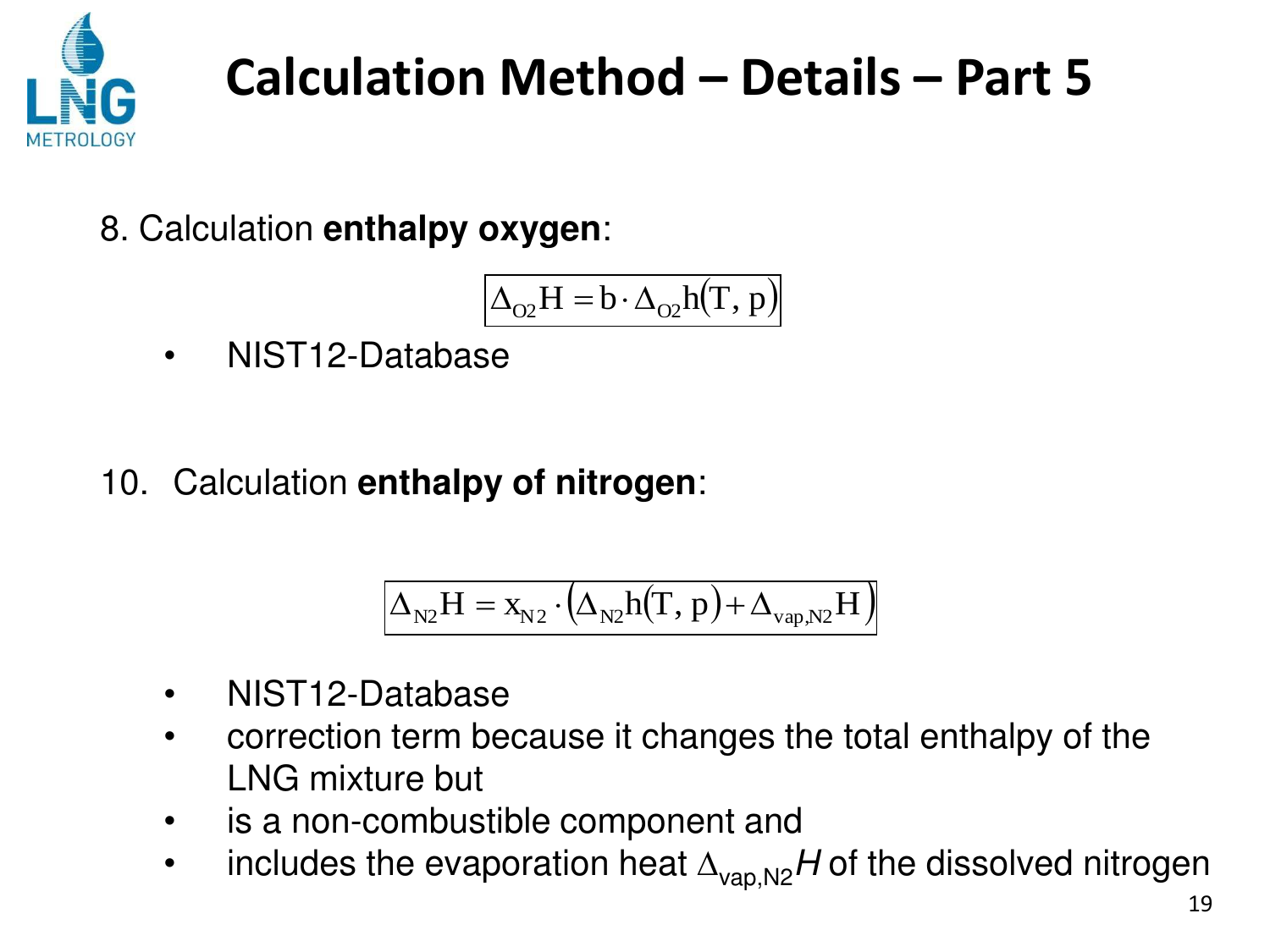

8. Calculation **enthalpy oxygen**:

$$
\Delta_{O2}H = b \cdot \Delta_{O2}h(T, p)
$$

- NIST12-Database
- 10. Calculation **enthalpy of nitrogen**:

$$
\boxed{\Delta_{\text{N2}}H=x_{\text{N2}}\cdot\left(\Delta_{\text{N2}}h(T,p)+\Delta_{\text{vap,N2}}H\right)}
$$

- NIST12-Database
- correction term because it changes the total enthalpy of the LNG mixture but
- is a non-combustible component and
- includes the evaporation heat  $\Delta_{\text{van},N2}H$  of the dissolved nitrogen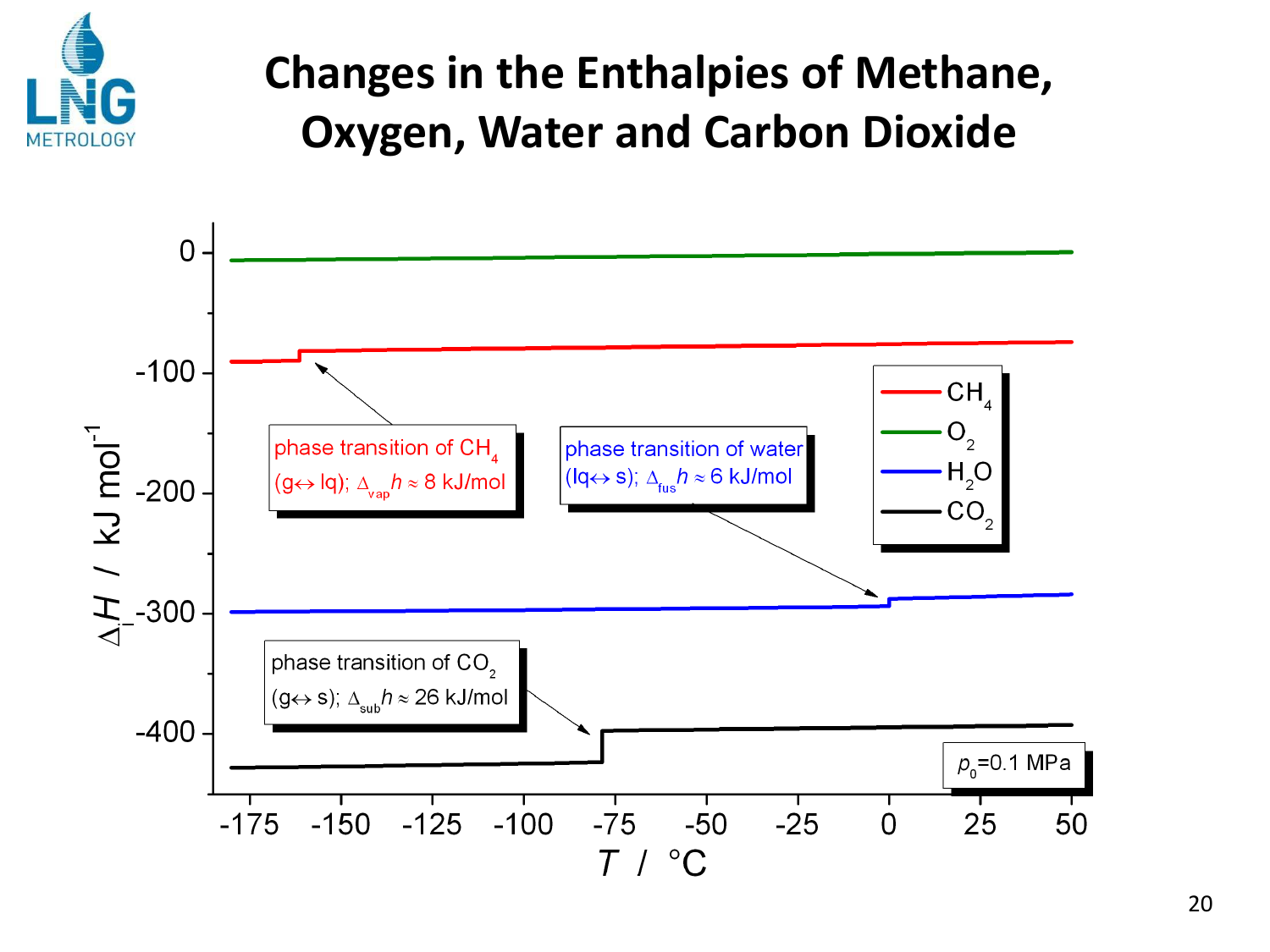

#### **Changes in the Enthalpies of Methane, Oxygen, Water and Carbon Dioxide**

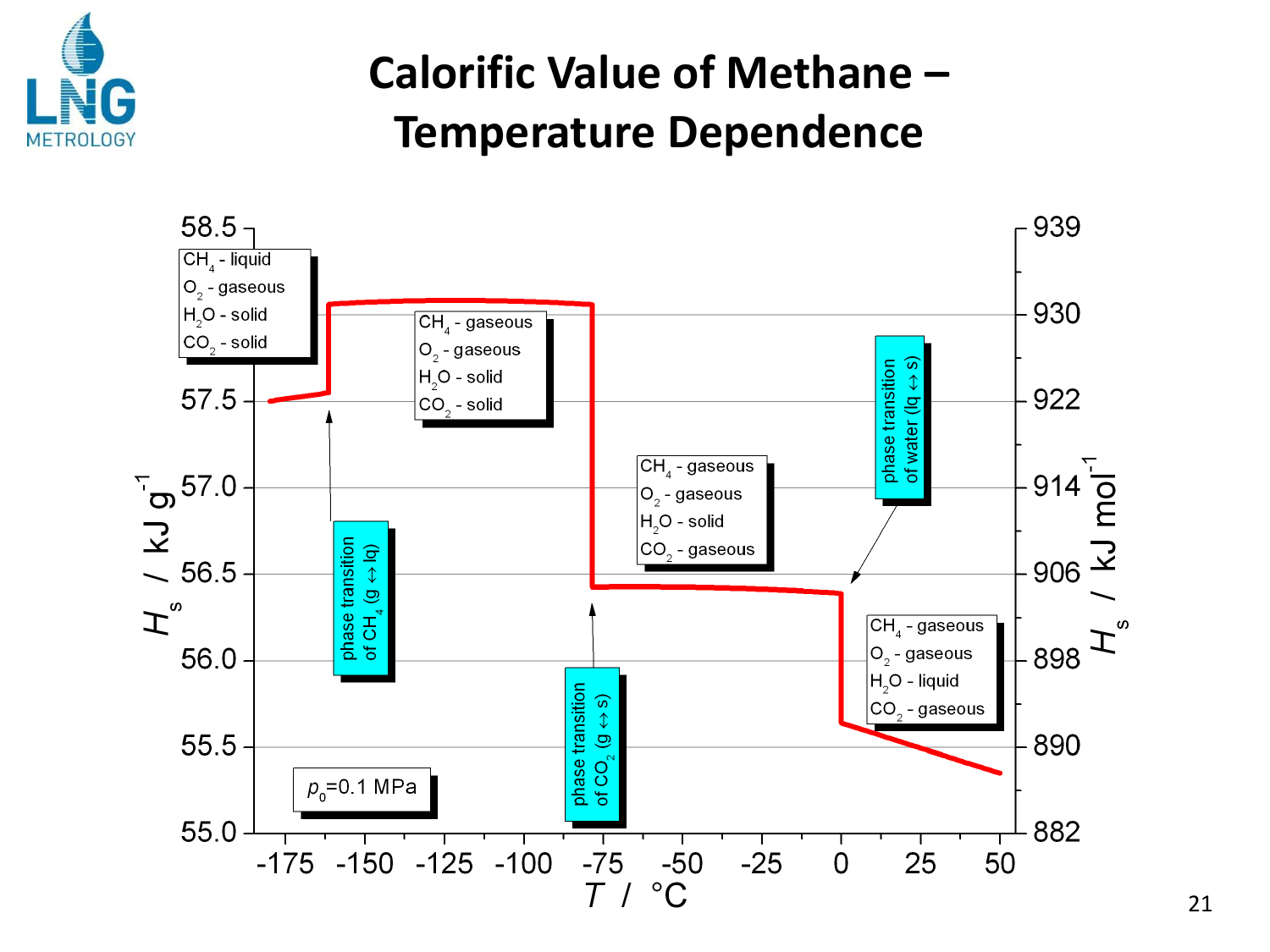

#### **Calorific Value of Methane -Temperature Dependence**

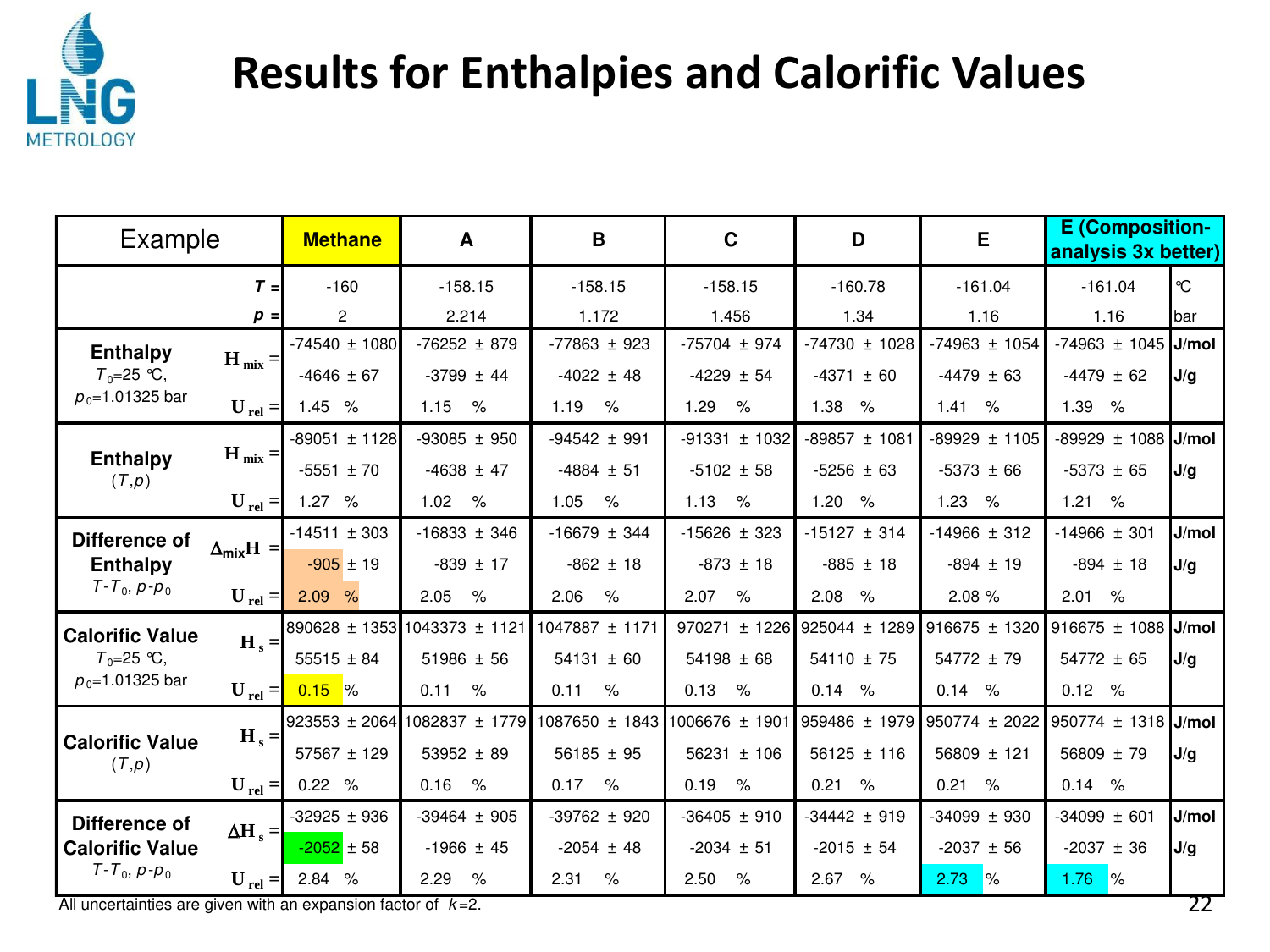

#### **Results for Enthalpies and Calorific Values**

| Example                                  |                                   | <b>Methane</b>    | A                            | B                                 | $\mathbf C$       | D                 | E                     |                       |              |  | <b>E</b> (Composition-<br>analysis 3x better) |
|------------------------------------------|-----------------------------------|-------------------|------------------------------|-----------------------------------|-------------------|-------------------|-----------------------|-----------------------|--------------|--|-----------------------------------------------|
|                                          | $T =$                             | $-160$            | $-158.15$                    | $-158.15$                         | $-158.15$         | $-160.78$         | $-161.04$             | $-161.04$             | $\mathrm{C}$ |  |                                               |
|                                          | $p =$                             | 2                 | 2.214                        | 1.172                             | 1.456             | 1.34              | 1.16                  | 1.16                  | bar          |  |                                               |
| <b>Enthalpy</b>                          |                                   | $-74540 \pm 1080$ | $-76252 \pm 879$             | $-77863 \pm 923$                  | $-75704 \pm 974$  | $-74730 \pm 1028$ | $-74963 \pm 1054$     | $-74963 \pm 1045$     | J/mol        |  |                                               |
| $T_0 = 25$ °C,                           | $H_{mix} =$                       | $-4646 \pm 67$    | $-3799 \pm 44$               | $-4022 \pm 48$                    | $-4229 \pm 54$    | $-4371 \pm 60$    | $-4479 \pm 63$        | $-4479 \pm 62$        | J/g          |  |                                               |
| $p_0$ =1.01325 bar                       | $\bf{U}$ <sub>rel</sub> =         | 1.45 %            | $\%$<br>1.15                 | 1.19<br>$\%$                      | 1.29<br>$\%$      | 1.38<br>$\%$      | 1.41<br>$\%$          | 1.39<br>$\%$          |              |  |                                               |
|                                          |                                   | $-89051 \pm 1128$ | $-93085 \pm 950$             | $-94542 \pm 991$                  | $-91331 \pm 1032$ | $-89857 \pm 1081$ | $-89929 \pm 1105$     | 89929<br>±1088        | J/mol        |  |                                               |
| <b>Enthalpy</b><br>(T,p)                 | $H_{mix} =$                       | $-5551 \pm 70$    | $-4638 \pm 47$               | $-4884 \pm 51$                    | $-5102 \pm 58$    | $-5256 \pm 63$    | $-5373 \pm 66$        | $-5373 \pm 65$        | J/g          |  |                                               |
|                                          | $U_{rel} =$                       | 1.27%             | 1.02<br>$\%$                 | 1.05<br>$\%$                      | 1.13 %            | 1.20%             | 1.23%                 | 1.21%                 |              |  |                                               |
| Difference of                            | $\Delta_{\text{mix}}H =$          | $-14511 \pm 303$  | $-16833 \pm 346$             | $-16679 \pm 344$                  | $-15626 \pm 323$  | $-15127 \pm 314$  | $-14966 \pm 312$      | $-14966 \pm 301$      | J/mol        |  |                                               |
| <b>Enthalpy</b>                          |                                   | $-905 \pm 19$     | $-839 \pm 17$                | $-862 \pm 18$                     | $-873 \pm 18$     | $-885 \pm 18$     | $-894 \pm 19$         | $-894 \pm 18$         | J/g          |  |                                               |
| $T - T_0$ , $p - p_0$                    | $\mathbf{U}_{\text{rel}} = \vert$ | 2.09%             | $\%$<br>2.05                 | 2.06<br>$\%$                      | 2.07<br>$\%$      | 2.08<br>$\%$      | 2.08 %                | 2.01<br>%             |              |  |                                               |
| <b>Calorific Value</b>                   |                                   |                   | 890628 ± 1353 1043373 ± 1121 | 1047887 ± 1171                    | 970271 ± 1226     | 925044 ± 1289     | $916675 \pm 1320$     | $916675 \pm 1088$     | J/mol        |  |                                               |
| $T_0 = 25$ °C,                           | $H_s =$                           | $55515 \pm 84$    | $51986 \pm 56$               | $54131 \pm 60$                    | $54198 \pm 68$    | $54110 \pm 75$    | $54772 \pm 79$        | $54772 \pm 65$        | J/g          |  |                                               |
| $p_0$ =1.01325 bar                       | $\bf{U}$ <sub>rel</sub> =         | $0.15\degree$ %   | 0.11<br>$\%$                 | 0.11<br>$\%$                      | 0.13<br>$\%$      | 0.14<br>$\%$      | 0.14<br>%             | 0.12 %                |              |  |                                               |
|                                          | $H_s =$                           | $923553 \pm 2064$ | 1082837 ± 1779               | $1087650 \pm 1843$ 1006676 ± 1901 |                   | 959486 ± 1979     | 950774 ± 2022         | 950774 ± 1318         | J/mol        |  |                                               |
| <b>Calorific Value</b><br>(T,p)          |                                   | $57567 \pm 129$   | $53952 \pm 89$               | $56185 \pm 95$                    | $56231 \pm 106$   | $56125 \pm 116$   | $56809 \pm 121$       | 56809 $± 79$          | J/g          |  |                                               |
|                                          | $\bf{U}$ <sub>rel</sub> =         | 0.22 %            | 0.16<br>$\%$                 | 0.17<br>$\%$                      | 0.19<br>$\%$      | 0.21<br>$\%$      | 0.21<br>$\%$          | 0.14<br>$\%$          |              |  |                                               |
| Difference of                            |                                   | $-32925 \pm 936$  | $-39464 \pm 905$             | $-39762 \pm 920$                  | $-36405 \pm 910$  | $-34442 \pm 919$  | $-34099 \pm 930$      | $-34099 \pm 601$      | J/mol        |  |                                               |
| <b>Calorific Value</b><br>$T-T_0, p-p_0$ | $\Delta H$ <sub>s</sub> =         | $-2052 \pm 58$    | $-1966 \pm 45$               | $-2054 \pm 48$                    | $-2034 \pm 51$    | $-2015 \pm 54$    | $-2037 \pm 56$        | $-2037 \pm 36$        | J/g          |  |                                               |
|                                          | $\bf{U}_{rel}$ =                  | 2.84 %            | 2.29<br>$\%$                 | 2.31<br>$\%$                      | 2.50<br>$\%$      | 2.67%             | 2.73<br>$\frac{9}{6}$ | 1.76<br>$\frac{9}{6}$ |              |  |                                               |

All uncertainties are given with an expansion factor of *k* =2.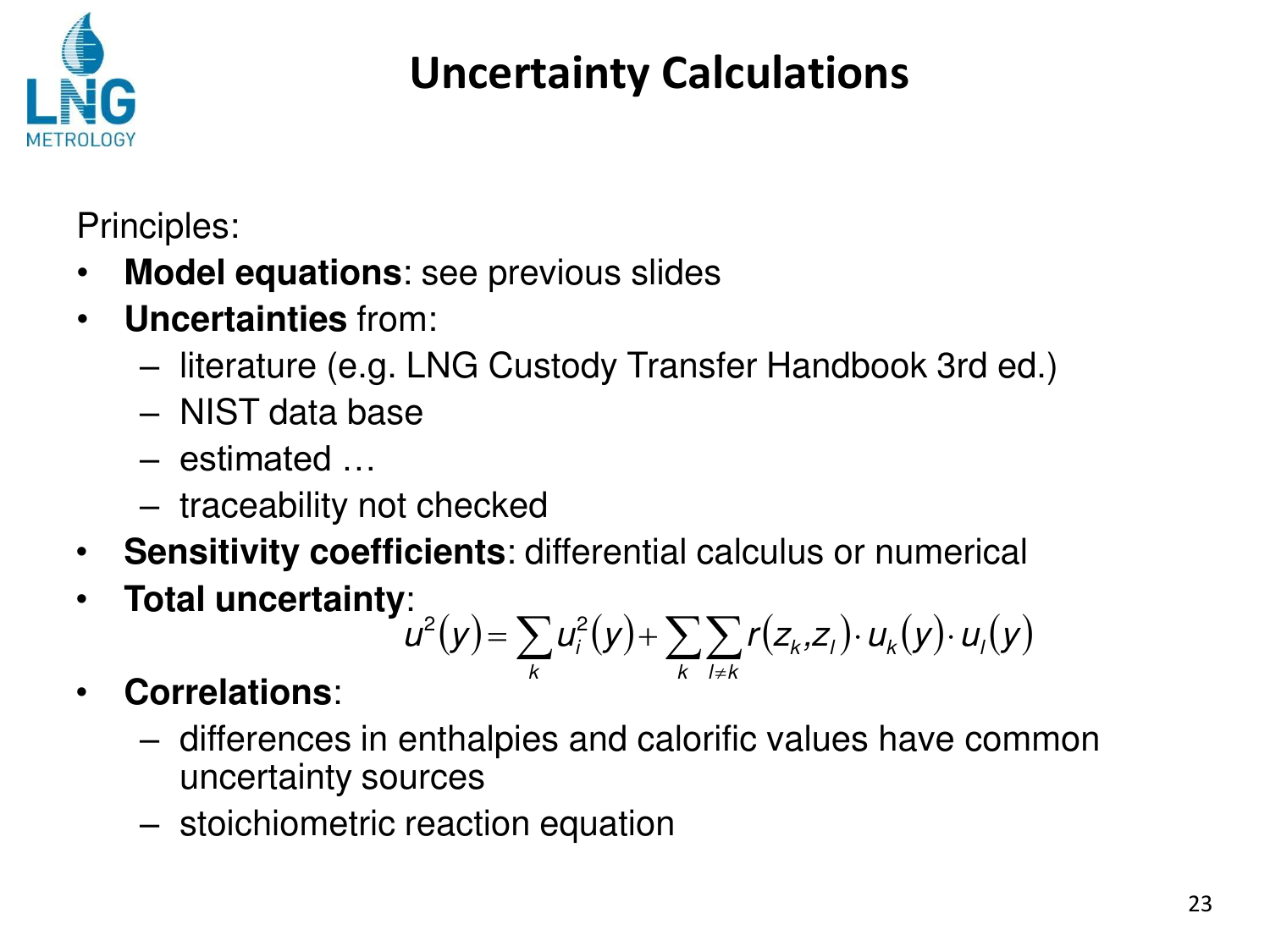

### **Uncertainty Calculations**

Principles:

- **Model equations**: see previous slides
- **Uncertainties** from:
	- literature (e.g. LNG Custody Transfer Handbook 3rd ed.)
	- NIST data base
	- estimated …
	- traceability not checked
- **Sensitivity coefficients**: differential calculus or numerical
- **Total uncertainty**:

$$
u^{2}(y) = \sum_{k} u_{i}^{2}(y) + \sum_{k} \sum_{l \neq k} r(z_{k}, z_{l}) \cdot u_{k}(y) \cdot u_{l}(y)
$$

- **Correlations**:
	- differences in enthalpies and calorific values have common uncertainty sources
	- stoichiometric reaction equation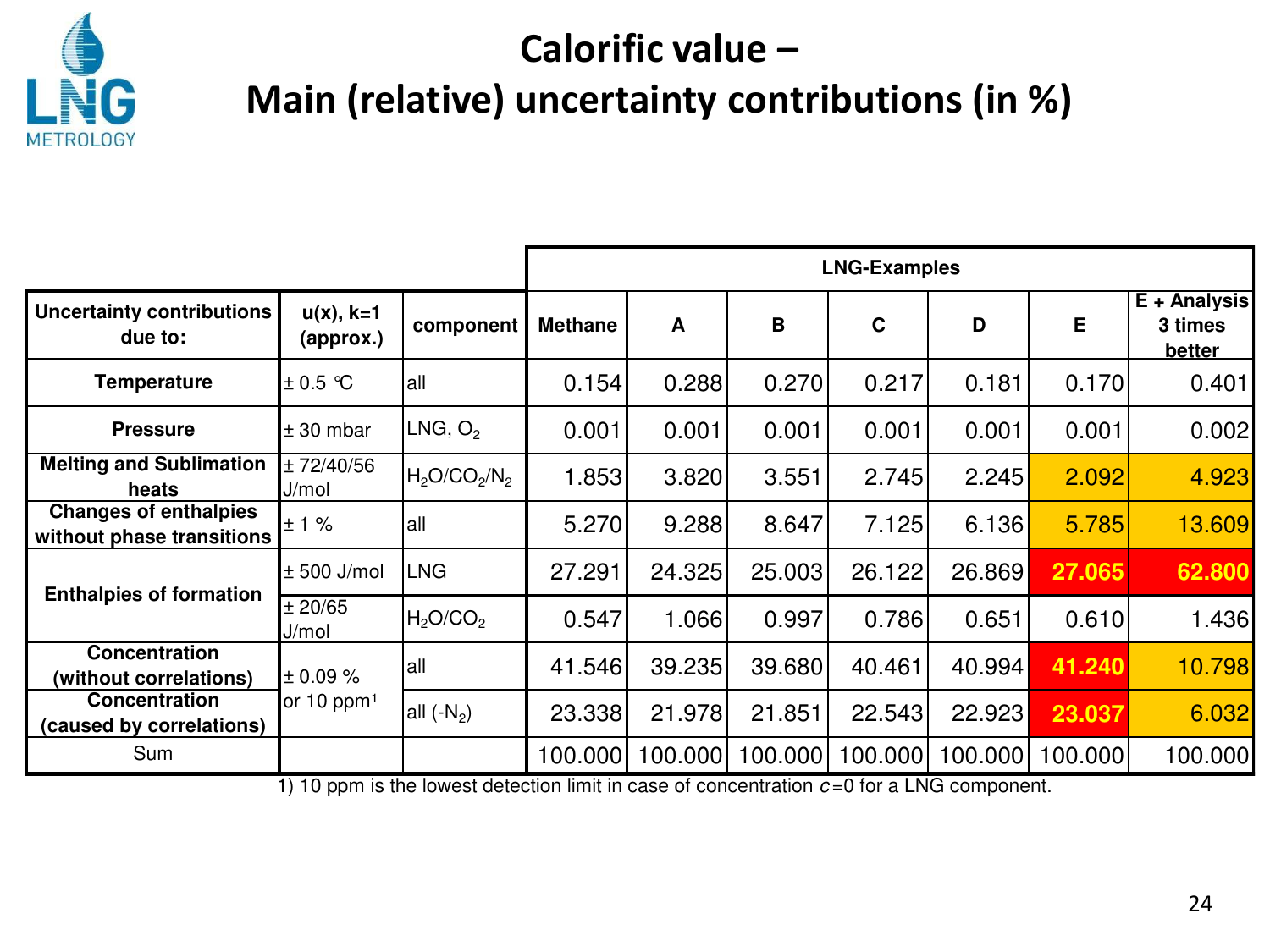

#### **Calorific value -Main (relative) uncertainty contributions (in %)**

|                                                           |                             |                                                                                                                                                        | <b>LNG-Examples</b> |         |         |             |         |         |                                   |
|-----------------------------------------------------------|-----------------------------|--------------------------------------------------------------------------------------------------------------------------------------------------------|---------------------|---------|---------|-------------|---------|---------|-----------------------------------|
| Uncertainty contributions<br>due to:                      | $u(x)$ , $k=1$<br>(approx.) | component                                                                                                                                              | <b>Methane</b>      | A       | B       | $\mathbf c$ | D       | E       | E + Analysis<br>3 times<br>better |
| Temperature                                               | $\pm$ 0.5 °C                | lall                                                                                                                                                   | 0.154               | 0.288   | 0.270   | 0.217       | 0.181   | 0.170   | 0.401                             |
| <b>Pressure</b>                                           | $± 30$ mbar                 | LNG, O <sub>2</sub>                                                                                                                                    | 0.001               | 0.001   | 0.001   | 0.001       | 0.001   | 0.001   | 0.002                             |
| <b>Melting and Sublimation</b><br>heats                   | ± 72/40/56<br>J/mol         | $H_2O/CO_2/N_2$                                                                                                                                        | 1.853               | 3.820   | 3.551   | 2.745       | 2.245   | 2.092   | 4.923                             |
| <b>Changes of enthalpies</b><br>without phase transitions | ± 1%                        | all                                                                                                                                                    | 5.270               | 9.288   | 8.647   | 7.125       | 6.136   | 5.785   | 13.609                            |
| <b>Enthalpies of formation</b>                            | $± 500$ J/mol               | LNG                                                                                                                                                    | 27.291              | 24.325  | 25.003  | 26.122      | 26.869  | 27.065  | 62.800                            |
|                                                           | ± 20/65<br>J/mol            | H <sub>2</sub> O/CO <sub>2</sub>                                                                                                                       | 0.547               | 1.066   | 0.997   | 0.786       | 0.651   | 0.610   | 1.436                             |
| Concentration<br>(without correlations)                   | ± 0.09 %                    | lall                                                                                                                                                   | 41.546              | 39.235  | 39.680  | 40.461      | 40.994  | 41.240  | 10.798                            |
| Concentration<br>(caused by correlations)                 | or 10 ppm <sup>1</sup>      | all $(-N_2)$                                                                                                                                           | 23.338              | 21.978  | 21.851  | 22.543      | 22.923  | 23.037  | 6.032                             |
| Sum                                                       | $4 \times 40$               | $\frac{1}{2}$ and $\frac{1}{2}$ and $\frac{1}{2}$ and $\frac{1}{2}$ and $\frac{1}{2}$ in the second contraction of $\overline{O}$ for all NIO solution | 100.000             | 100.000 | 100.000 | 100.000     | 100.000 | 100.000 | 100.000                           |

1) 10 ppm is the lowest detection limit in case of concentration *c* =0 for a LNG component.